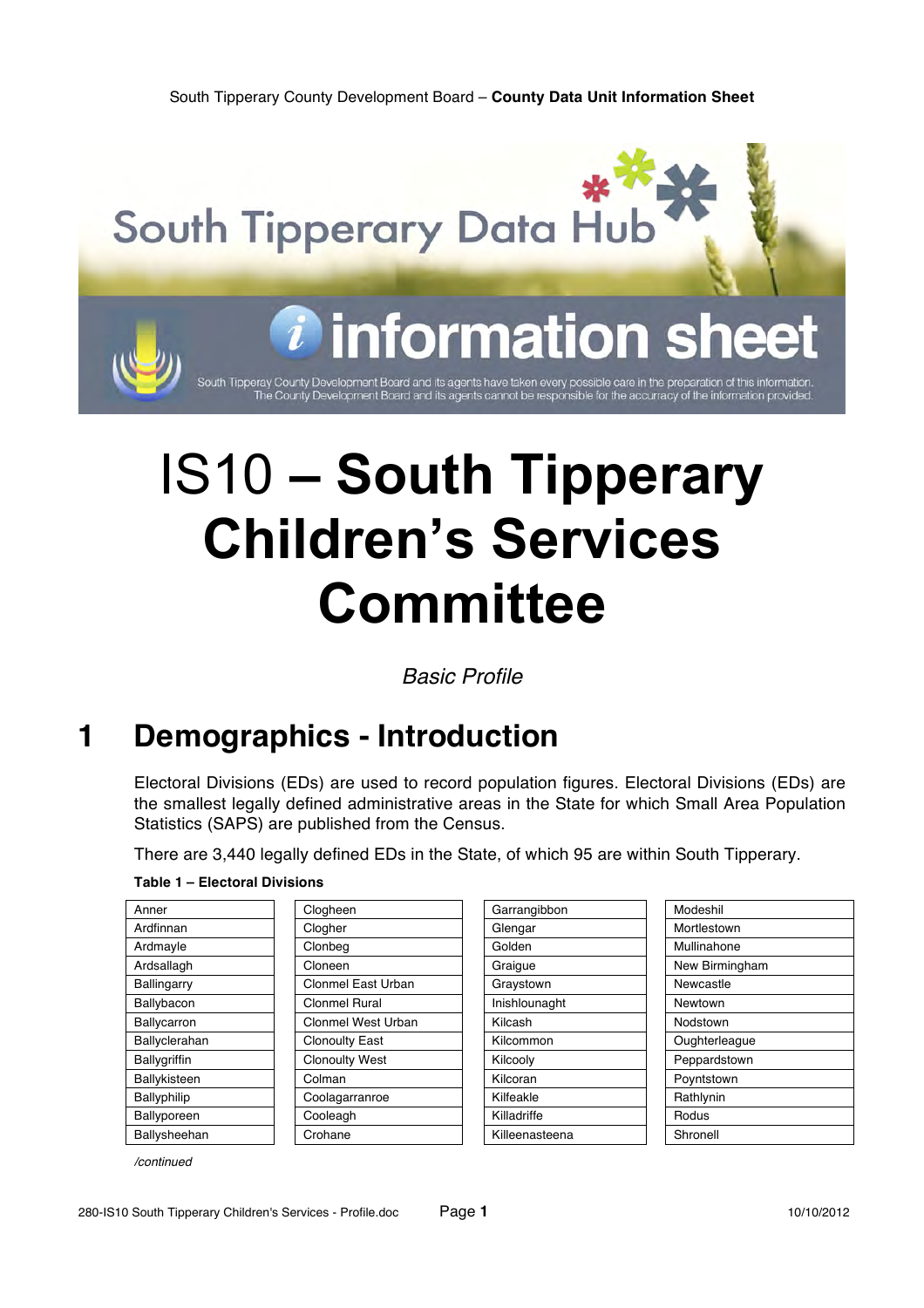

South Tipperay County Development Board and its agents have taken every possible care in the preparation of this information<br>The County Development Board and its agents cannot be responsible for the accurracy of the inform

# IS10 **– South Tipperary Children's Services Committee**

*Basic Profile*

### **1 Demographics - Introduction**

Electoral Divisions (EDs) are used to record population figures. Electoral Divisions (EDs) are the smallest legally defined administrative areas in the State for which Small Area Population Statistics (SAPS) are published from the Census.

There are 3,440 legally defined EDs in the State, of which 95 are within South Tipperary.

### **Table 1 – Electoral Divisions**

| Anner               | Clogheen              | Garrangibbon   | Modeshil       |
|---------------------|-----------------------|----------------|----------------|
| Ardfinnan           | Clogher               | Glengar        | Mortlestown    |
| Ardmayle            | Clonbeg               | Golden         | Mullinahone    |
| Ardsallagh          | Cloneen               | Graigue        | New Birmingham |
| Ballingarry         | Clonmel East Urban    | Graystown      | Newcastle      |
| Ballybacon          | <b>Clonmel Rural</b>  | Inishlounaght  | Newtown        |
| <b>Ballycarron</b>  | Clonmel West Urban    | Kilcash        | Nodstown       |
| Ballyclerahan       | <b>Clonoulty East</b> | Kilcommon      | Oughterleague  |
| <b>Ballygriffin</b> | <b>Clonoulty West</b> | Kilcooly       | Peppardstown   |
| Ballykisteen        | Colman                | Kilcoran       | Poyntstown     |
| Ballyphilip         | Coolagarranroe        | Kilfeakle      | Rathlynin      |
| Ballyporeen         | Cooleagh              | Killadriffe    | Rodus          |
| Ballysheehan        | Crohane               | Killeenasteena | Shronell       |

| Garrangibbon   | Modes         |
|----------------|---------------|
| Glengar        | Mortles       |
| Golden         | Mullina       |
| Graigue        | New Bi        |
| Graystown      | Newca         |
| Inishlounaght  | <b>Newtoy</b> |
| Kilcash        | Nodsto        |
| Kilcommon      | Oughte        |
| Kilcooly       | Peppar        |
| Kilcoran       | Poynts        |
| Kilfeakle      | Rathlyr       |
| Killadriffe    | Rodus         |
| Killeenasteena | Shrone        |
|                |               |

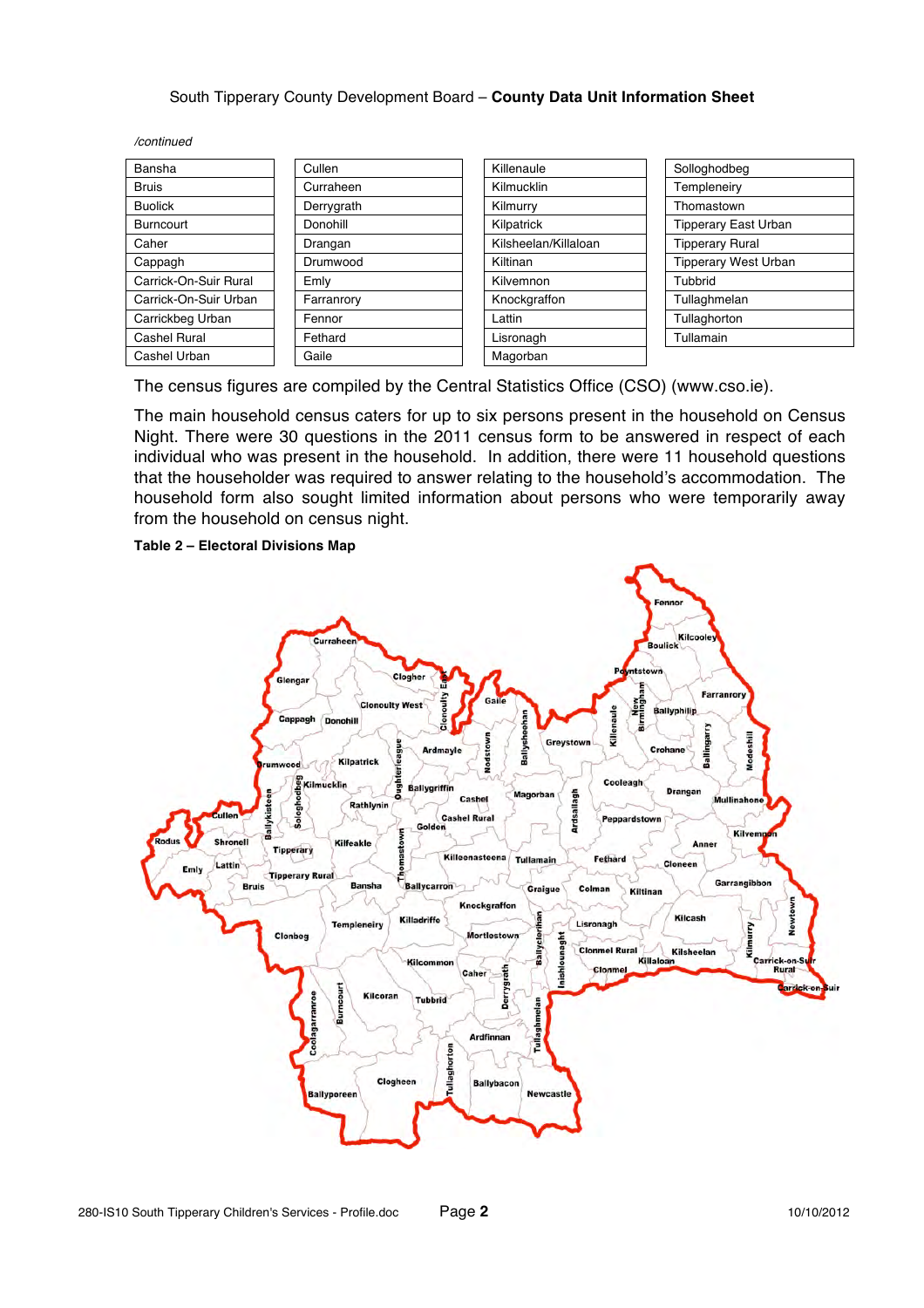*/continued*

| Bansha                | Cullen     | Killenaule           | Solloghodbeg                |
|-----------------------|------------|----------------------|-----------------------------|
| Bruis                 | Curraheen  | <b>Kilmucklin</b>    | Templeneiry                 |
| <b>Buolick</b>        | Derrygrath | Kilmurry             | Thomastown                  |
| Burncourt             | Donohill   | Kilpatrick           | <b>Tipperary East Urban</b> |
| Caher                 | Drangan    | Kilsheelan/Killaloan | <b>Tipperary Rural</b>      |
| Cappagh               | Drumwood   | Kiltinan             | <b>Tipperary West Urban</b> |
| Carrick-On-Suir Rural | Emly       | Kilvemnon            | Tubbrid                     |
| Carrick-On-Suir Urban | Farranrory | Knockgraffon         | Tullaghmelan                |
| Carrickbeg Urban      | Fennor     | Lattin               | Tullaghorton                |
| Cashel Rural          | Fethard    | Lisronagh            | Tullamain                   |
| Cashel Urban          | Gaile      | Magorban             |                             |

| Killenaule           |
|----------------------|
| Kilmucklin           |
| Kilmurry             |
| Kilpatrick           |
| Kilsheelan/Killaloan |
| Kiltinan             |
| Kilvemnon            |
| Knockgraffon         |
| Lattin               |
| Lisronagh            |
| Magorban             |

| Solloghodbeg                |
|-----------------------------|
| Templeneiry                 |
| Thomastown                  |
| <b>Tipperary East Urban</b> |
| <b>Tipperary Rural</b>      |
| <b>Tipperary West Urban</b> |
| Tubbrid                     |
| Tullaghmelan                |
| Tullaghorton                |
| Tullamain                   |

The census figures are compiled by the Central Statistics Office (CSO) (www.cso.ie).

The main household census caters for up to six persons present in the household on Census Night. There were 30 questions in the 2011 census form to be answered in respect of each individual who was present in the household. In addition, there were 11 household questions that the householder was required to answer relating to the household's accommodation. The household form also sought limited information about persons who were temporarily away from the household on census night.



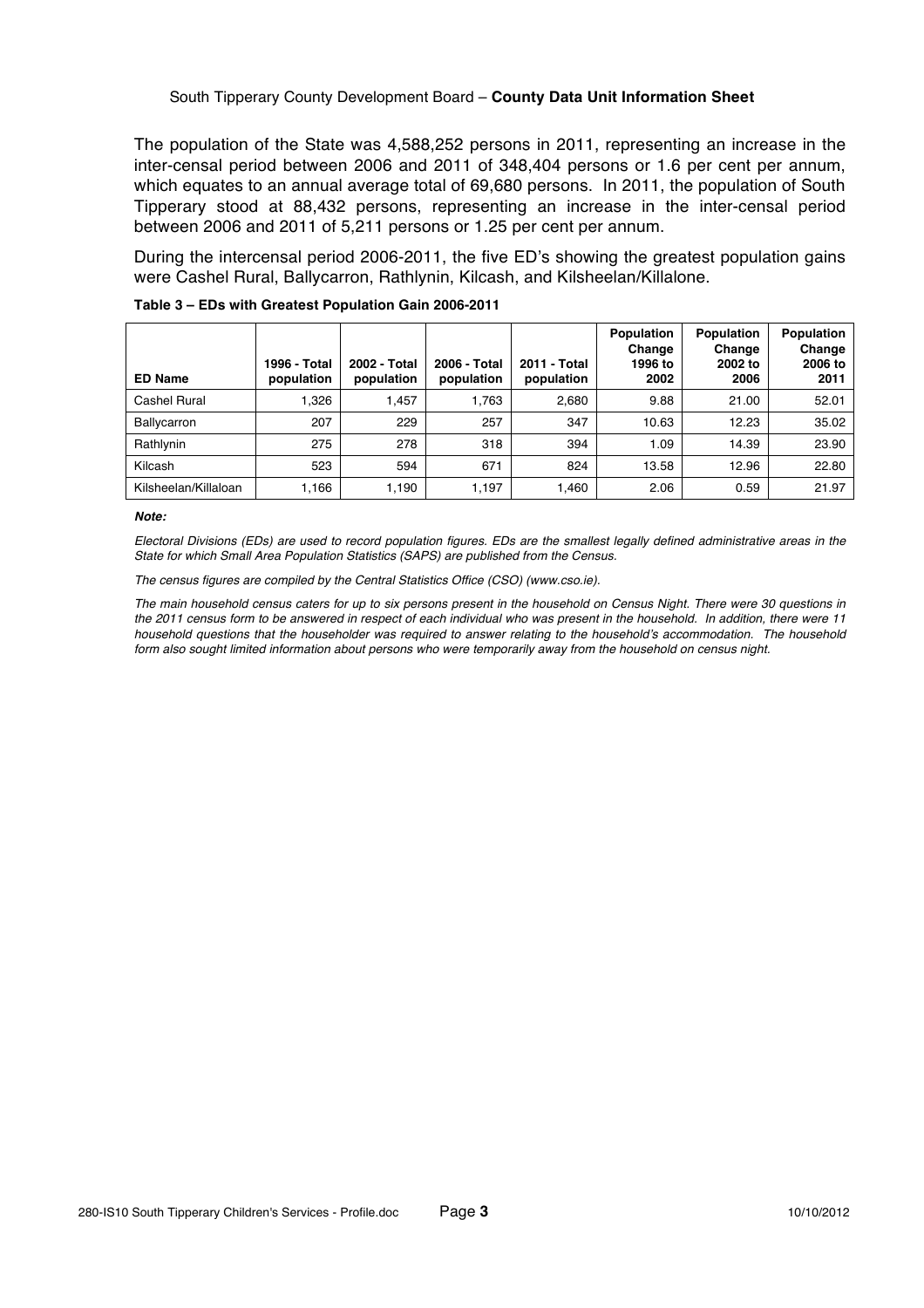The population of the State was 4,588,252 persons in 2011, representing an increase in the inter-censal period between 2006 and 2011 of 348,404 persons or 1.6 per cent per annum, which equates to an annual average total of 69,680 persons. In 2011, the population of South Tipperary stood at 88,432 persons, representing an increase in the inter-censal period between 2006 and 2011 of 5,211 persons or 1.25 per cent per annum.

During the intercensal period 2006-2011, the five ED's showing the greatest population gains were Cashel Rural, Ballycarron, Rathlynin, Kilcash, and Kilsheelan/Killalone.

| <b>ED Name</b>       | 1996 - Total<br>population | 2002 - Total<br>population | 2006 - Total<br>population | 2011 - Total<br>population | Population<br>Change<br>1996 to<br>2002 | Population<br>Change<br>2002 to<br>2006 | <b>Population</b><br>Change<br>2006 to<br>2011 |
|----------------------|----------------------------|----------------------------|----------------------------|----------------------------|-----------------------------------------|-----------------------------------------|------------------------------------------------|
| Cashel Rural         | <b>1.326</b>               | 1,457                      | 1.763                      | 2,680                      | 9.88                                    | 21.00                                   | 52.01                                          |
| Ballycarron          | 207                        | 229                        | 257                        | 347                        | 10.63                                   | 12.23                                   | 35.02                                          |
| Rathlynin            | 275                        | 278                        | 318                        | 394                        | 1.09                                    | 14.39                                   | 23.90                                          |
| Kilcash              | 523                        | 594                        | 671                        | 824                        | 13.58                                   | 12.96                                   | 22.80                                          |
| Kilsheelan/Killaloan | 1,166                      | 1,190                      | 1,197                      | .460                       | 2.06                                    | 0.59                                    | 21.97                                          |

### **Table 3 – EDs with Greatest Population Gain 2006-2011**

#### *Note:*

*Electoral Divisions (EDs) are used to record population figures. EDs are the smallest legally defined administrative areas in the State for which Small Area Population Statistics (SAPS) are published from the Census.*

*The census figures are compiled by the Central Statistics Office (CSO) (www.cso.ie).*

*The main household census caters for up to six persons present in the household on Census Night. There were 30 questions in the 2011 census form to be answered in respect of each individual who was present in the household. In addition, there were 11 household questions that the householder was required to answer relating to the household's accommodation. The household form also sought limited information about persons who were temporarily away from the household on census night.*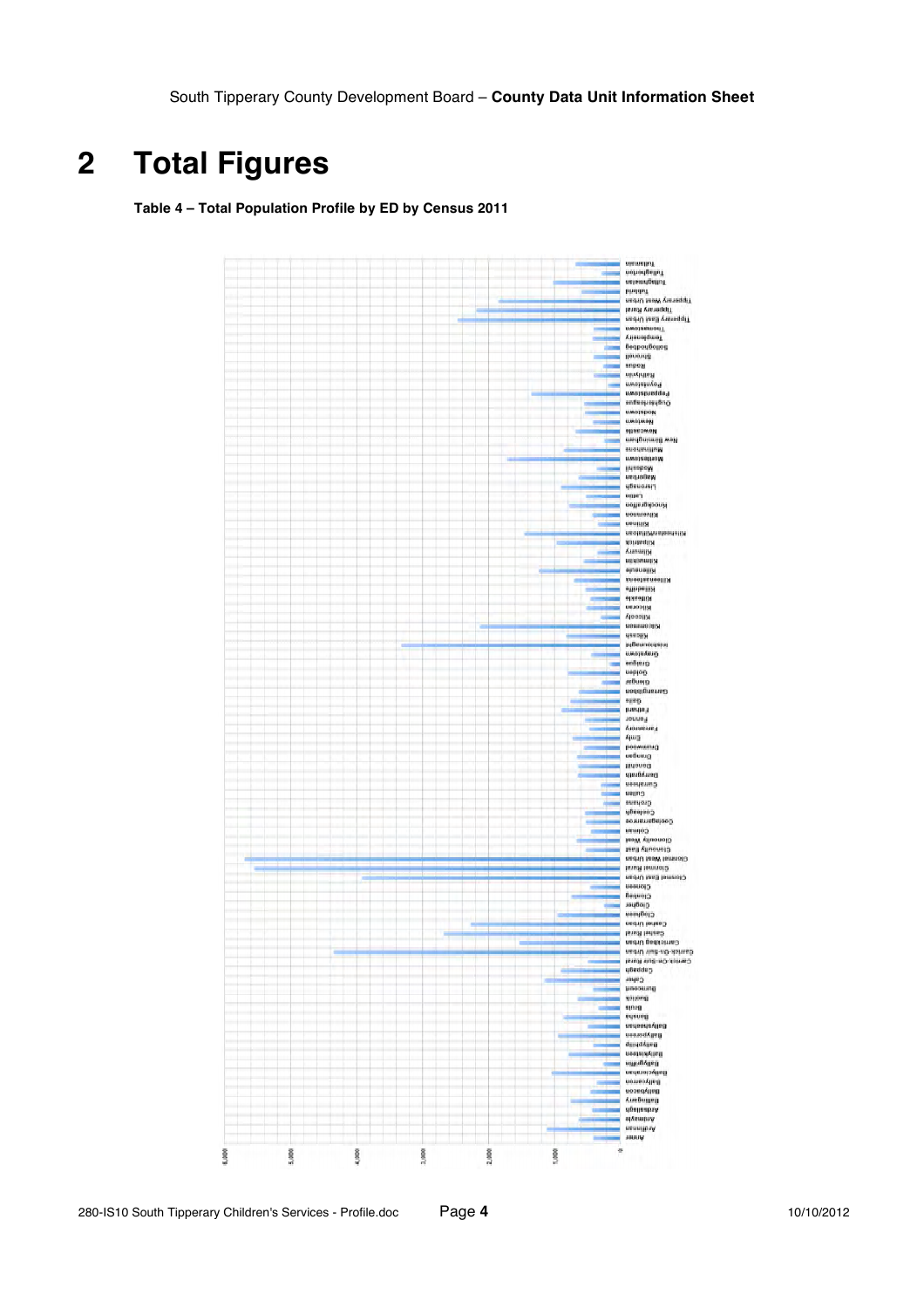## **2 Total Figures**

**Table 4 – Total Population Profile by ED by Census 2011**

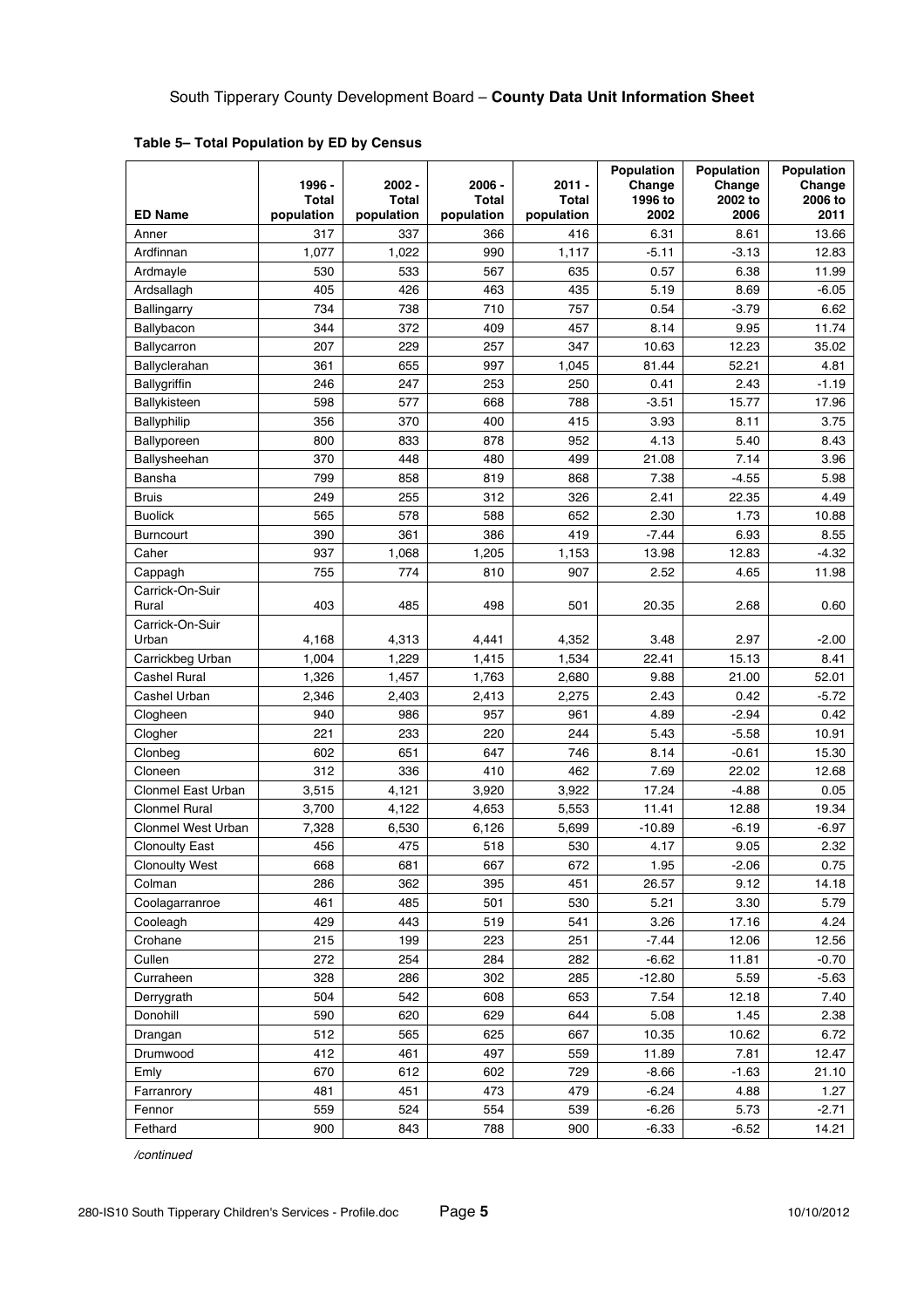|                           | 1996 -<br><b>Total</b> | $2002 -$<br>Total | $2006 -$<br>Total | $2011 -$<br>Total | Population<br>Change<br>1996 to | Population<br>Change<br>2002 to | Population<br>Change<br>2006 to |
|---------------------------|------------------------|-------------------|-------------------|-------------------|---------------------------------|---------------------------------|---------------------------------|
| <b>ED Name</b>            | population             | population        | population        | population        | 2002                            | 2006                            | 2011                            |
| Anner                     | 317                    | 337               | 366               | 416               | 6.31                            | 8.61                            | 13.66                           |
| Ardfinnan                 | 1,077                  | 1,022             | 990               | 1,117             | $-5.11$                         | $-3.13$                         | 12.83                           |
| Ardmayle                  | 530                    | 533               | 567               | 635               | 0.57                            | 6.38                            | 11.99                           |
| Ardsallagh                | 405                    | 426               | 463               | 435               | 5.19                            | 8.69                            | $-6.05$                         |
| Ballingarry               | 734                    | 738               | 710               | 757               | 0.54                            | $-3.79$                         | 6.62                            |
| Ballybacon                | 344                    | 372               | 409               | 457               | 8.14                            | 9.95                            | 11.74                           |
| <b>Ballycarron</b>        | 207                    | 229               | 257               | 347               | 10.63                           | 12.23                           | 35.02                           |
| Ballyclerahan             | 361                    | 655               | 997               | 1,045             | 81.44                           | 52.21                           | 4.81                            |
| <b>Ballygriffin</b>       | 246                    | 247               | 253               | 250               | 0.41                            | 2.43                            | $-1.19$                         |
| Ballykisteen              | 598                    | 577               | 668               | 788               | $-3.51$                         | 15.77                           | 17.96                           |
| Ballyphilip               | 356                    | 370               | 400               | 415               | 3.93                            | 8.11                            | 3.75                            |
| Ballyporeen               | 800                    | 833               | 878               | 952               | 4.13                            | 5.40                            | 8.43                            |
| Ballysheehan              | 370                    | 448               | 480               | 499               | 21.08                           | 7.14                            | 3.96                            |
| <b>Bansha</b>             | 799                    | 858               | 819               | 868               | 7.38                            | $-4.55$                         | 5.98                            |
| <b>Bruis</b>              | 249                    | 255               | 312               | 326               | 2.41                            | 22.35                           | 4.49                            |
| <b>Buolick</b>            | 565                    | 578               | 588               | 652               | 2.30                            | 1.73                            | 10.88                           |
| <b>Burncourt</b>          | 390                    | 361               | 386               | 419               | $-7.44$                         | 6.93                            | 8.55                            |
| Caher                     | 937                    | 1,068             | 1,205             | 1,153             | 13.98                           | 12.83                           | $-4.32$                         |
| Cappagh                   | 755                    | 774               | 810               | 907               | 2.52                            | 4.65                            | 11.98                           |
| Carrick-On-Suir<br>Rural  | 403                    | 485               | 498               | 501               | 20.35                           | 2.68                            | 0.60                            |
| Carrick-On-Suir<br>Urban  | 4,168                  | 4,313             | 4,441             | 4,352             | 3.48                            | 2.97                            | $-2.00$                         |
| Carrickbeg Urban          | 1,004                  | 1,229             | 1,415             | 1,534             | 22.41                           | 15.13                           | 8.41                            |
| <b>Cashel Rural</b>       | 1,326                  | 1,457             | 1,763             | 2,680             | 9.88                            | 21.00                           | 52.01                           |
| Cashel Urban              | 2,346                  | 2,403             | 2,413             | 2,275             | 2.43                            | 0.42                            | $-5.72$                         |
| Clogheen                  | 940                    | 986               | 957               | 961               | 4.89                            | $-2.94$                         | 0.42                            |
| Clogher                   | 221                    | 233               | 220               | 244               | 5.43                            | $-5.58$                         | 10.91                           |
| Clonbeg                   | 602                    | 651               | 647               | 746               | 8.14                            | $-0.61$                         | 15.30                           |
| Cloneen                   | 312                    | 336               | 410               | 462               | 7.69                            | 22.02                           | 12.68                           |
| Clonmel East Urban        | 3,515                  | 4,121             | 3,920             | 3,922             | 17.24                           | $-4.88$                         | 0.05                            |
| <b>Clonmel Rural</b>      | 3,700                  | 4,122             | 4,653             | 5,553             | 11.41                           | 12.88                           | 19.34                           |
| <b>Clonmel West Urban</b> | 7,328                  | 6,530             | 6,126             | 5,699             | $-10.89$                        | $-6.19$                         | $-6.97$                         |
| <b>Clonoulty East</b>     | 456                    | 475               | 518               | 530               | 4.17                            | 9.05                            | 2.32                            |
| <b>Clonoulty West</b>     | 668                    | 681               | 667               | 672               | 1.95                            | $-2.06$                         | 0.75                            |
| Colman                    | 286                    | 362               | 395               | 451               | 26.57                           | 9.12                            | 14.18                           |
| Coolagarranroe            | 461                    | 485               | 501               | 530               | 5.21                            | 3.30                            | 5.79                            |
| Cooleagh                  | 429                    | 443               | 519               | 541               | 3.26                            | 17.16                           | 4.24                            |
| Crohane                   | 215                    | 199               | 223               | 251               | 7.44                            | 12.06                           | 12.56                           |
| Cullen                    | 272                    | 254               | 284               | 282               | $-6.62$                         | 11.81                           | $-0.70$                         |
| Curraheen                 | 328                    | 286               | 302               | 285               | $-12.80$                        | 5.59                            | $-5.63$                         |
| Derrygrath                | 504                    | 542               | 608               | 653               | 7.54                            | 12.18                           | 7.40                            |
| Donohill                  | 590                    | 620               | 629               | 644               | 5.08                            | 1.45                            | 2.38                            |
| Drangan                   | 512                    | 565               | 625               | 667               | 10.35                           | 10.62                           | 6.72                            |
| Drumwood                  | 412                    | 461               | 497               | 559               | 11.89                           | 7.81                            | 12.47                           |
| Emly                      | 670                    | 612               | 602               | 729               | $-8.66$                         | $-1.63$                         | 21.10                           |
| Farranrory                | 481                    | 451               | 473               | 479               | $-6.24$                         | 4.88                            | 1.27                            |
| Fennor                    | 559                    | 524               | 554               | 539               | $-6.26$                         | 5.73                            | $-2.71$                         |
| Fethard                   | 900                    | 843               | 788               | 900               | $-6.33$                         | $-6.52$                         | 14.21                           |

**Table 5– Total Population by ED by Census**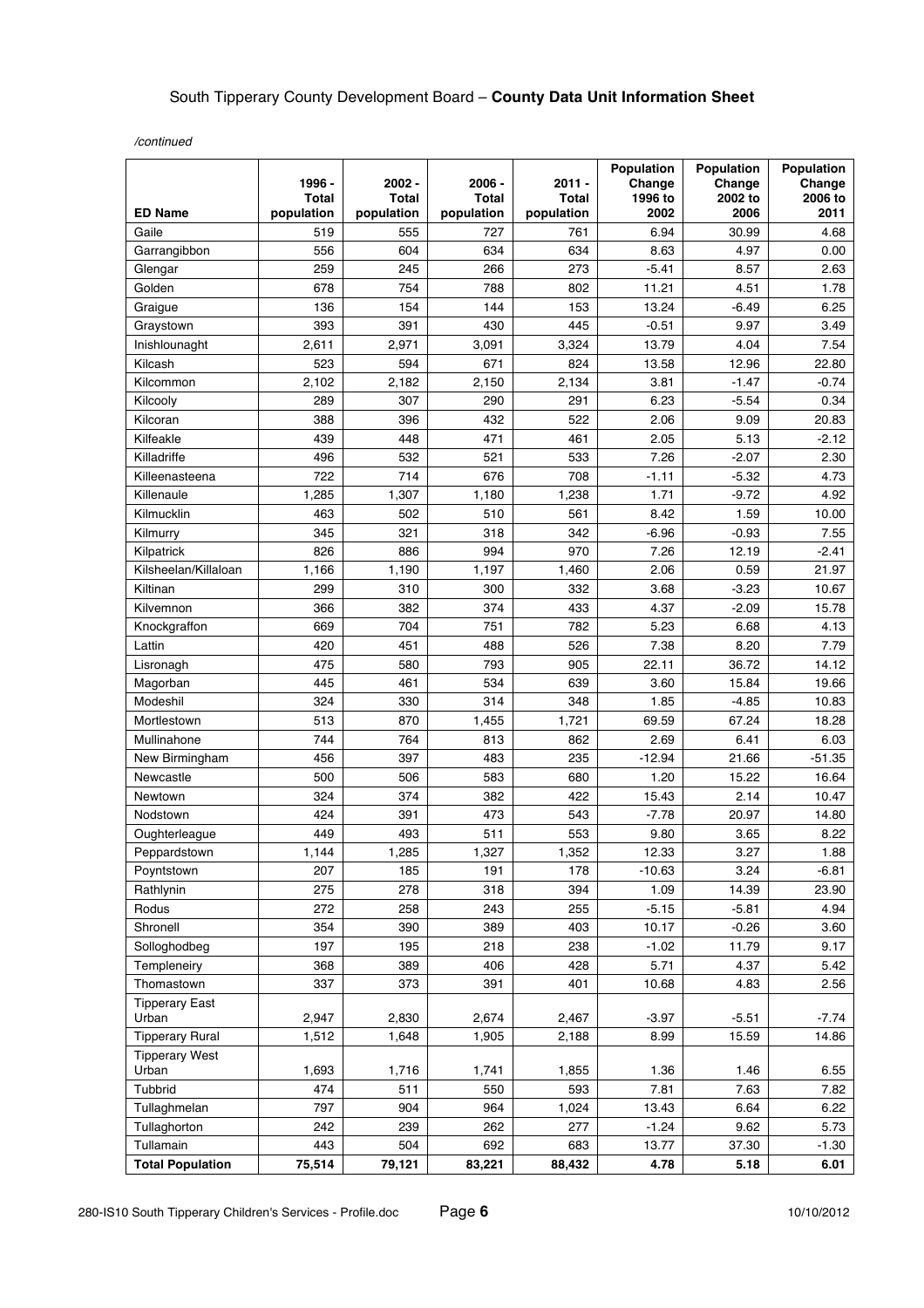|                         | 1996 -                     | $2002 -$            | 2006 -                     | $2011 -$                   | Population<br>Change | Population<br>Change | Population<br>Change |
|-------------------------|----------------------------|---------------------|----------------------------|----------------------------|----------------------|----------------------|----------------------|
| <b>ED Name</b>          | <b>Total</b><br>population | Total<br>population | <b>Total</b><br>population | <b>Total</b><br>population | 1996 to<br>2002      | 2002 to<br>2006      | 2006 to<br>2011      |
| Gaile                   | 519                        | 555                 | 727                        | 761                        | 6.94                 | 30.99                | 4.68                 |
| Garrangibbon            | 556                        | 604                 | 634                        | 634                        | 8.63                 | 4.97                 | 0.00                 |
| Glengar                 | 259                        | 245                 | 266                        | 273                        | $-5.41$              | 8.57                 | 2.63                 |
| Golden                  | 678                        | 754                 | 788                        | 802                        | 11.21                | 4.51                 | 1.78                 |
| Graigue                 | 136                        | 154                 | 144                        | 153                        | 13.24                | $-6.49$              | 6.25                 |
| Graystown               | 393                        | 391                 | 430                        | 445                        | $-0.51$              | 9.97                 | 3.49                 |
| Inishlounaght           | 2,611                      | 2,971               | 3,091                      | 3,324                      | 13.79                | 4.04                 | 7.54                 |
| Kilcash                 | 523                        | 594                 | 671                        | 824                        | 13.58                | 12.96                | 22.80                |
| Kilcommon               | 2.102                      | 2,182               | 2,150                      | 2,134                      | 3.81                 | $-1.47$              | $-0.74$              |
| Kilcooly                | 289                        | 307                 | 290                        | 291                        | 6.23                 | $-5.54$              | 0.34                 |
| Kilcoran                | 388                        | 396                 | 432                        | 522                        | 2.06                 | 9.09                 | 20.83                |
| Kilfeakle               | 439                        | 448                 | 471                        | 461                        | 2.05                 | 5.13                 | $-2.12$              |
| Killadriffe             | 496                        | 532                 | 521                        | 533                        | 7.26                 | $-2.07$              | 2.30                 |
| Killeenasteena          | 722                        | 714                 | 676                        | 708                        | $-1.11$              | $-5.32$              | 4.73                 |
| Killenaule              | 1,285                      | 1,307               | 1,180                      | 1,238                      | 1.71                 | $-9.72$              | 4.92                 |
| Kilmucklin              | 463                        | 502                 | 510                        | 561                        | 8.42                 | 1.59                 | 10.00                |
| Kilmurry                | 345                        | 321                 | 318                        | 342                        | $-6.96$              | $-0.93$              | 7.55                 |
| Kilpatrick              | 826                        | 886                 | 994                        | 970                        | 7.26                 | 12.19                | $-2.41$              |
| Kilsheelan/Killaloan    | 1,166                      | 1,190               | 1,197                      | 1,460                      | 2.06                 | 0.59                 | 21.97                |
| Kiltinan                | 299                        | 310                 | 300                        | 332                        | 3.68                 | $-3.23$              | 10.67                |
| Kilvemnon               | 366                        | 382                 | 374                        | 433                        | 4.37                 | $-2.09$              | 15.78                |
| Knockgraffon            | 669                        | 704                 | 751                        | 782                        | 5.23                 | 6.68                 | 4.13                 |
| Lattin                  | 420                        | 451                 | 488                        | 526                        | 7.38                 | 8.20                 | 7.79                 |
| Lisronagh               | 475                        | 580                 | 793                        | 905                        | 22.11                | 36.72                | 14.12                |
| Magorban                | 445                        | 461                 | 534                        | 639                        | 3.60                 | 15.84                | 19.66                |
| Modeshil                | 324                        | 330                 | 314                        | 348                        | 1.85                 | $-4.85$              | 10.83                |
| Mortlestown             | 513                        | 870                 | 1,455                      | 1,721                      | 69.59                | 67.24                | 18.28                |
| Mullinahone             | 744                        | 764                 | 813                        | 862                        | 2.69                 | 6.41                 | 6.03                 |
| New Birmingham          | 456                        | 397                 | 483                        | 235                        | $-12.94$             | 21.66                | $-51.35$             |
| Newcastle               | 500                        | 506                 | 583                        | 680                        | 1.20                 | 15.22                | 16.64                |
| Newtown                 | 324                        | 374                 | 382                        | 422                        | 15.43                | 2.14                 | 10.47                |
| Nodstown                | 424                        | 391                 | 473                        | 543                        | $-7.78$              | 20.97                | 14.80                |
| Oughterleague           | 449                        | 493                 | 511                        | 553                        | 9.80                 | 3.65                 | 8.22                 |
| Peppardstown            | 1,144                      | 1,285               | 1,327                      | 1,352                      | 12.33                | 3.27                 | 1.88                 |
| Poyntstown              | 207                        | 185                 | 191                        | 178                        | $-10.63$             | 3.24                 | $-6.81$              |
| Rathlynin               | 275                        | 278                 | 318                        | 394                        | 1.09                 | 14.39                | 23.90                |
| Rodus                   | 272                        | 258                 | 243                        | 255                        | $-5.15$              | $-5.81$              | 4.94                 |
| Shronell                | 354                        | 390                 | 389                        | 403                        | 10.17                | $-0.26$              | 3.60                 |
| Solloghodbeg            | 197                        | 195                 | 218                        | 238                        | $-1.02$              | 11.79                | 9.17                 |
| Templeneiry             | 368                        | 389                 | 406                        | 428                        | 5.71                 | 4.37                 | 5.42                 |
| Thomastown              | 337                        | 373                 | 391                        | 401                        | 10.68                | 4.83                 | 2.56                 |
| <b>Tipperary East</b>   |                            |                     |                            |                            |                      |                      |                      |
| Urban                   | 2,947                      | 2,830               | 2,674                      | 2,467                      | $-3.97$              | $-5.51$              | $-7.74$              |
| <b>Tipperary Rural</b>  | 1,512                      | 1,648               | 1,905                      | 2,188                      | 8.99                 | 15.59                | 14.86                |
| <b>Tipperary West</b>   |                            |                     |                            |                            |                      |                      |                      |
| Urban                   | 1,693                      | 1,716               | 1,741                      | 1,855                      | 1.36                 | 1.46                 | 6.55                 |
| Tubbrid                 | 474                        | 511                 | 550                        | 593                        | 7.81                 | 7.63                 | 7.82                 |
| Tullaghmelan            | 797                        | 904                 | 964                        | 1,024                      | 13.43                | 6.64                 | 6.22                 |
| Tullaghorton            | 242                        | 239                 | 262                        | 277                        | $-1.24$              | 9.62                 | 5.73                 |
| Tullamain               | 443                        | 504                 | 692                        | 683                        | 13.77                | 37.30                | $-1.30$              |
| <b>Total Population</b> | 75,514                     | 79,121              | 83,221                     | 88,432                     | 4.78                 | 5.18                 | 6.01                 |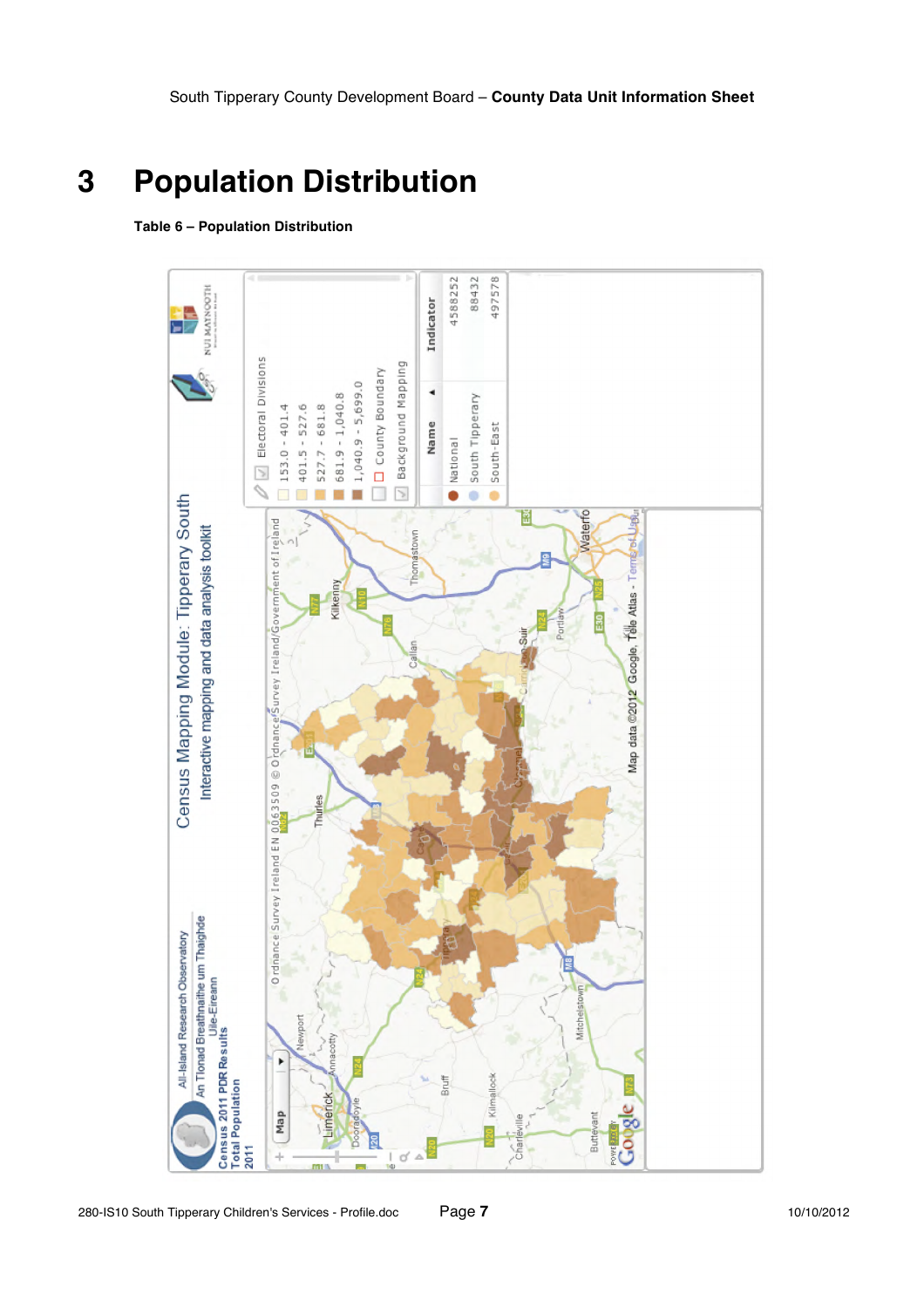# **3 Population Distribution**

#### **Table 6 – Population Distribution**

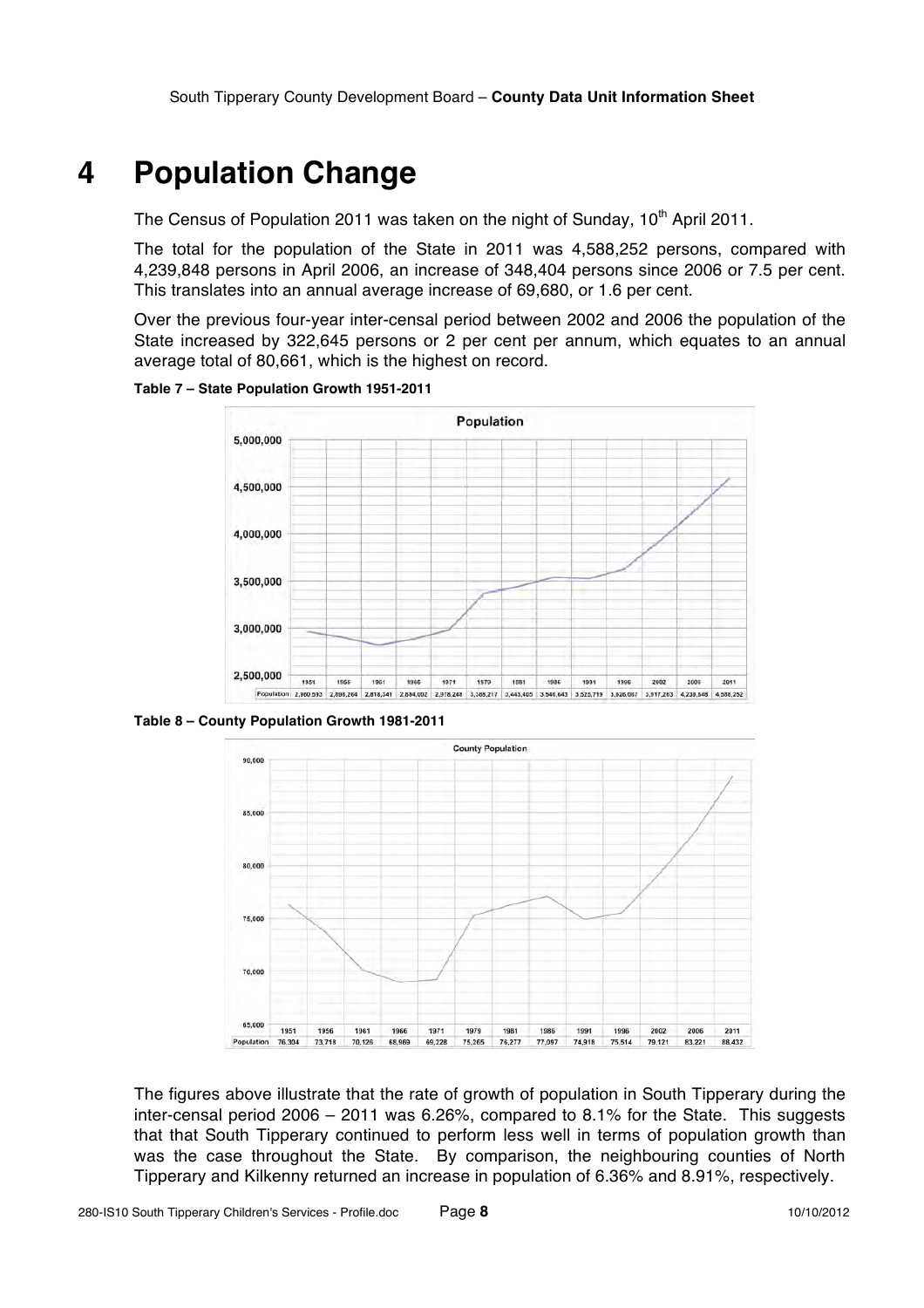### **4 Population Change**

The Census of Population 2011 was taken on the night of Sunday,  $10<sup>th</sup>$  April 2011.

The total for the population of the State in 2011 was 4,588,252 persons, compared with 4,239,848 persons in April 2006, an increase of 348,404 persons since 2006 or 7.5 per cent. This translates into an annual average increase of 69,680, or 1.6 per cent.

Over the previous four-year inter-censal period between 2002 and 2006 the population of the State increased by 322,645 persons or 2 per cent per annum, which equates to an annual average total of 80,661, which is the highest on record.

**Table 7 – State Population Growth 1951-2011**



**Table 8 – County Population Growth 1981-2011**



The figures above illustrate that the rate of growth of population in South Tipperary during the inter-censal period 2006 – 2011 was 6.26%, compared to 8.1% for the State. This suggests that that South Tipperary continued to perform less well in terms of population growth than was the case throughout the State. By comparison, the neighbouring counties of North Tipperary and Kilkenny returned an increase in population of 6.36% and 8.91%, respectively.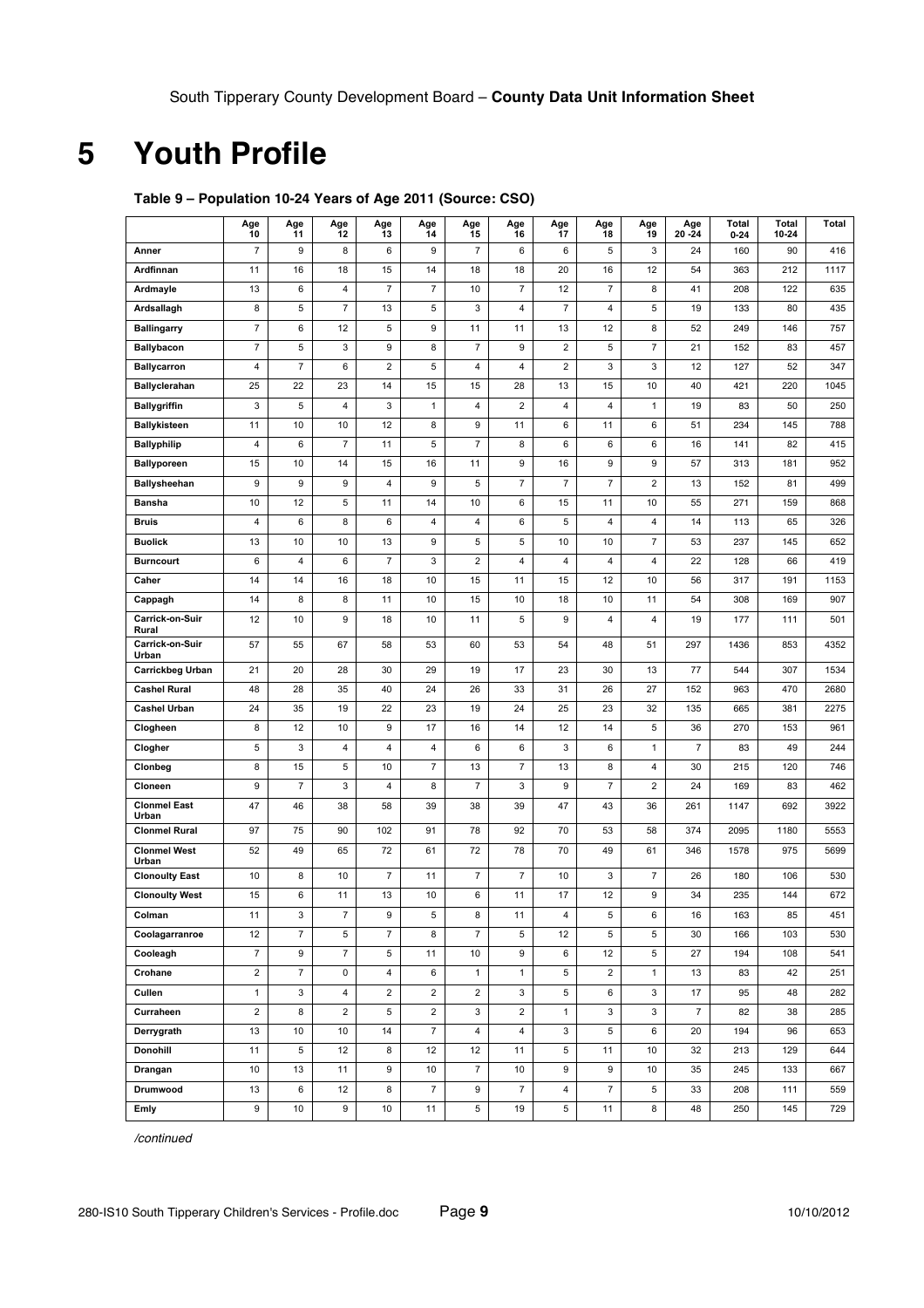# **5 Youth Profile**

|                              | Age<br>10               | Age<br>11                 | Age<br>12                | Age<br>13               | Age<br>14               | Age<br>15                | Age<br>16                 | Age<br>17               | Age<br>18                | Age<br>19      | Age<br>$20 - 24$ | Total<br>$0 - 24$ | <b>Total</b><br>10-24 | Total |
|------------------------------|-------------------------|---------------------------|--------------------------|-------------------------|-------------------------|--------------------------|---------------------------|-------------------------|--------------------------|----------------|------------------|-------------------|-----------------------|-------|
| Anner                        | $\overline{7}$          | 9                         | 8                        | 6                       | $\boldsymbol{9}$        | $\overline{7}$           | 6                         | 6                       | 5                        | 3              | 24               | 160               | 90                    | 416   |
| Ardfinnan                    | 11                      | 16                        | 18                       | 15                      | 14                      | 18                       | 18                        | 20                      | 16                       | 12             | 54               | 363               | 212                   | 1117  |
| Ardmayle                     | 13                      | 6                         | 4                        | $\boldsymbol{7}$        | $\overline{7}$          | 10                       | $\overline{7}$            | 12                      | $\overline{\mathcal{I}}$ | 8              | 41               | 208               | 122                   | 635   |
| Ardsallagh                   | 8                       | 5                         | $\overline{\mathcal{I}}$ | 13                      | 5                       | 3                        | 4                         | $\overline{7}$          | 4                        | 5              | 19               | 133               | 80                    | 435   |
| <b>Ballingarry</b>           | $\overline{\mathbf{7}}$ | 6                         | 12                       | 5                       | 9                       | 11                       | 11                        | 13                      | 12                       | 8              | 52               | 249               | 146                   | 757   |
| <b>Ballybacon</b>            | $\overline{\mathbf{7}}$ | 5                         | 3                        | 9                       | 8                       | $\overline{\mathcal{I}}$ | 9                         | 2                       | 5                        | $\overline{7}$ | 21               | 152               | 83                    | 457   |
| <b>Ballycarron</b>           | 4                       | $\overline{\mathfrak{c}}$ | 6                        | $\overline{\mathbf{c}}$ | 5                       | 4                        | 4                         | $\overline{\mathbf{c}}$ | 3                        | 3              | 12               | 127               | 52                    | 347   |
| <b>Ballyclerahan</b>         | 25                      | 22                        | 23                       | 14                      | 15                      | 15                       | 28                        | 13                      | 15                       | 10             | 40               | 421               | 220                   | 1045  |
| <b>Ballygriffin</b>          | 3                       | 5                         | 4                        | 3                       | $\mathbf{1}$            | 4                        | $\mathbf 2$               | 4                       | 4                        | $\mathbf{1}$   | 19               | 83                | 50                    | 250   |
| <b>Ballykisteen</b>          | 11                      | 10                        | 10                       | 12                      | 8                       | 9                        | 11                        | 6                       | 11                       | 6              | 51               | 234               | 145                   | 788   |
| <b>Ballyphilip</b>           | 4                       | 6                         | $\overline{7}$           | 11                      | 5                       | $\overline{7}$           | 8                         | 6                       | 6                        | 6              | 16               | 141               | 82                    | 415   |
| <b>Ballyporeen</b>           | 15                      | 10                        | 14                       | 15                      | 16                      | 11                       | 9                         | 16                      | 9                        | 9              | 57               | 313               | 181                   | 952   |
| Ballysheehan                 | 9                       | 9                         | 9                        | $\overline{4}$          | $\boldsymbol{9}$        | 5                        | $\overline{\mathfrak{c}}$ | $\overline{7}$          | $\overline{7}$           | $\overline{c}$ | 13               | 152               | 81                    | 499   |
| Bansha                       | 10                      | 12                        | 5                        | 11                      | 14                      | 10                       | 6                         | 15                      | 11                       | 10             | 55               | 271               | 159                   | 868   |
| <b>Bruis</b>                 | 4                       | 6                         | 8                        | 6                       | 4                       | 4                        | 6                         | 5                       | 4                        | 4              | 14               | 113               | 65                    | 326   |
| <b>Buolick</b>               | 13                      | 10                        | 10                       | 13                      | 9                       | 5                        | 5                         | 10                      | 10                       | $\overline{7}$ | 53               | 237               | 145                   | 652   |
| <b>Burncourt</b>             | 6                       | 4                         | 6                        | $\overline{7}$          | 3                       | $\overline{\mathbf{c}}$  | 4                         | 4                       | 4                        | 4              | 22               | 128               | 66                    | 419   |
| Caher                        | 14                      | 14                        | 16                       | 18                      | 10                      | 15                       | 11                        | 15                      | 12                       | 10             | 56               | 317               | 191                   | 1153  |
| Cappagh                      | 14                      | 8                         | 8                        | 11                      | 10                      | 15                       | 10                        | 18                      | 10                       | 11             | 54               | 308               | 169                   | 907   |
| Carrick-on-Suir<br>Rural     | 12                      | 10                        | $\boldsymbol{9}$         | 18                      | 10                      | 11                       | 5                         | 9                       | 4                        | $\overline{4}$ | 19               | 177               | 111                   | 501   |
| Carrick-on-Suir<br>Urban     | 57                      | 55                        | 67                       | 58                      | 53                      | 60                       | 53                        | 54                      | 48                       | 51             | 297              | 1436              | 853                   | 4352  |
| <b>Carrickbeg Urban</b>      | 21                      | 20                        | 28                       | 30                      | 29                      | 19                       | 17                        | 23                      | 30                       | 13             | 77               | 544               | 307                   | 1534  |
| <b>Cashel Rural</b>          | 48                      | 28                        | 35                       | 40                      | 24                      | 26                       | 33                        | 31                      | 26                       | 27             | 152              | 963               | 470                   | 2680  |
| <b>Cashel Urban</b>          | 24                      | 35                        | 19                       | 22                      | 23                      | 19                       | 24                        | 25                      | 23                       | 32             | 135              | 665               | 381                   | 2275  |
| Clogheen                     | 8                       | 12                        | 10                       | 9                       | 17                      | 16                       | 14                        | 12                      | 14                       | 5              | 36               | 270               | 153                   | 961   |
| Clogher                      | 5                       | 3                         | 4                        | 4                       | 4                       | 6                        | 6                         | 3                       | 6                        | $\mathbf{1}$   | $\overline{7}$   | 83                | 49                    | 244   |
| Clonbeg                      | 8                       | 15                        | 5                        | 10                      | $\overline{7}$          | 13                       | $\boldsymbol{7}$          | 13                      | 8                        | 4              | 30               | 215               | 120                   | 746   |
| Cloneen                      | 9                       | $\overline{\mathfrak{c}}$ | 3                        | $\overline{4}$          | 8                       | $\overline{\mathcal{I}}$ | 3                         | 9                       | $\overline{\mathcal{I}}$ | $\overline{c}$ | 24               | 169               | 83                    | 462   |
| <b>Clonmel East</b><br>Urban | 47                      | 46                        | 38                       | 58                      | 39                      | 38                       | 39                        | 47                      | 43                       | 36             | 261              | 1147              | 692                   | 3922  |
| <b>Clonmel Rural</b>         | 97                      | 75                        | 90                       | 102                     | 91                      | 78                       | 92                        | 70                      | 53                       | 58             | 374              | 2095              | 1180                  | 5553  |
| <b>Clonmel West</b><br>Urban | 52                      | 49                        | 65                       | 72                      | 61                      | 72                       | 78                        | 70                      | 49                       | 61             | 346              | 1578              | 975                   | 5699  |
| <b>Clonoulty East</b>        | 10                      | 8                         | 10                       | $\overline{7}$          | 11                      | $\overline{7}$           | $\boldsymbol{7}$          | 10                      | 3                        | $\overline{7}$ | 26               | 180               | 106                   | 530   |
| <b>Clonoulty West</b>        | 15                      | 6                         | 11                       | 13                      | 10                      | 6                        | 11                        | 17                      | 12                       | 9              | 34               | 235               | 144                   | 672   |
| Colman                       | 11                      | 3                         | $\overline{7}$           | 9                       | 5                       | 8                        | 11                        | 4                       | 5                        | 6              | 16               | 163               | 85                    | 451   |
| Coolagarranroe               | 12                      | 7                         | 5                        | $\overline{7}$          | 8                       | $\overline{7}$           | 5                         | 12                      | 5                        | 5              | 30               | 166               | 103                   | 530   |
| Cooleagh                     | $\overline{\mathbf{7}}$ | 9                         | $\overline{7}$           | 5                       | 11                      | $10$                     | 9                         | 6                       | 12                       | 5              | 27               | 194               | 108                   | 541   |
| Crohane                      | $\overline{\mathbf{c}}$ | $\overline{\mathcal{I}}$  | $\pmb{0}$                | $\overline{\mathbf{4}}$ | 6                       | $\mathbf{1}$             | $\mathbf{1}$              | 5                       | $\mathbf 2$              | $\mathbf{1}$   | 13               | 83                | 42                    | 251   |
| Cullen                       | $\mathbf{1}$            | 3                         | $\overline{\mathbf{4}}$  | $\overline{\mathbf{c}}$ | $\overline{\mathbf{c}}$ | $\overline{c}$           | 3                         | 5                       | 6                        | $\mathsf 3$    | 17               | 95                | 48                    | 282   |
| Curraheen                    | $\overline{\mathbf{c}}$ | 8                         | $\overline{\mathbf{c}}$  | 5                       | $\overline{c}$          | 3                        | $\overline{\mathbf{c}}$   | $\mathbf{1}$            | 3                        | 3              | $\overline{7}$   | 82                | 38                    | 285   |
| Derrygrath                   | 13                      | $10$                      | $10$                     | 14                      | $\overline{7}$          | 4                        | 4                         | 3                       | 5                        | 6              | 20               | 194               | 96                    | 653   |
| <b>Donohill</b>              | 11                      | 5                         | 12                       | 8                       | 12                      | 12                       | 11                        | 5                       | 11                       | 10             | 32               | 213               | 129                   | 644   |
| Drangan                      | $10$                    | 13                        | 11                       | 9                       | 10                      | $\boldsymbol{7}$         | $10$                      | 9                       | 9                        | $10\,$         | 35               | 245               | 133                   | 667   |
| Drumwood                     | 13                      | 6                         | 12                       | 8                       | $\overline{7}$          | 9                        | $\overline{7}$            | 4                       | $\overline{\mathcal{I}}$ | 5              | 33               | 208               | 111                   | 559   |
| Emly                         | 9                       | $10\,$                    | 9                        | 10                      | 11                      | 5                        | 19                        | 5                       | 11                       | 8              | 48               | 250               | 145                   | 729   |

### **Table 9 – Population 10-24 Years of Age 2011 (Source: CSO)**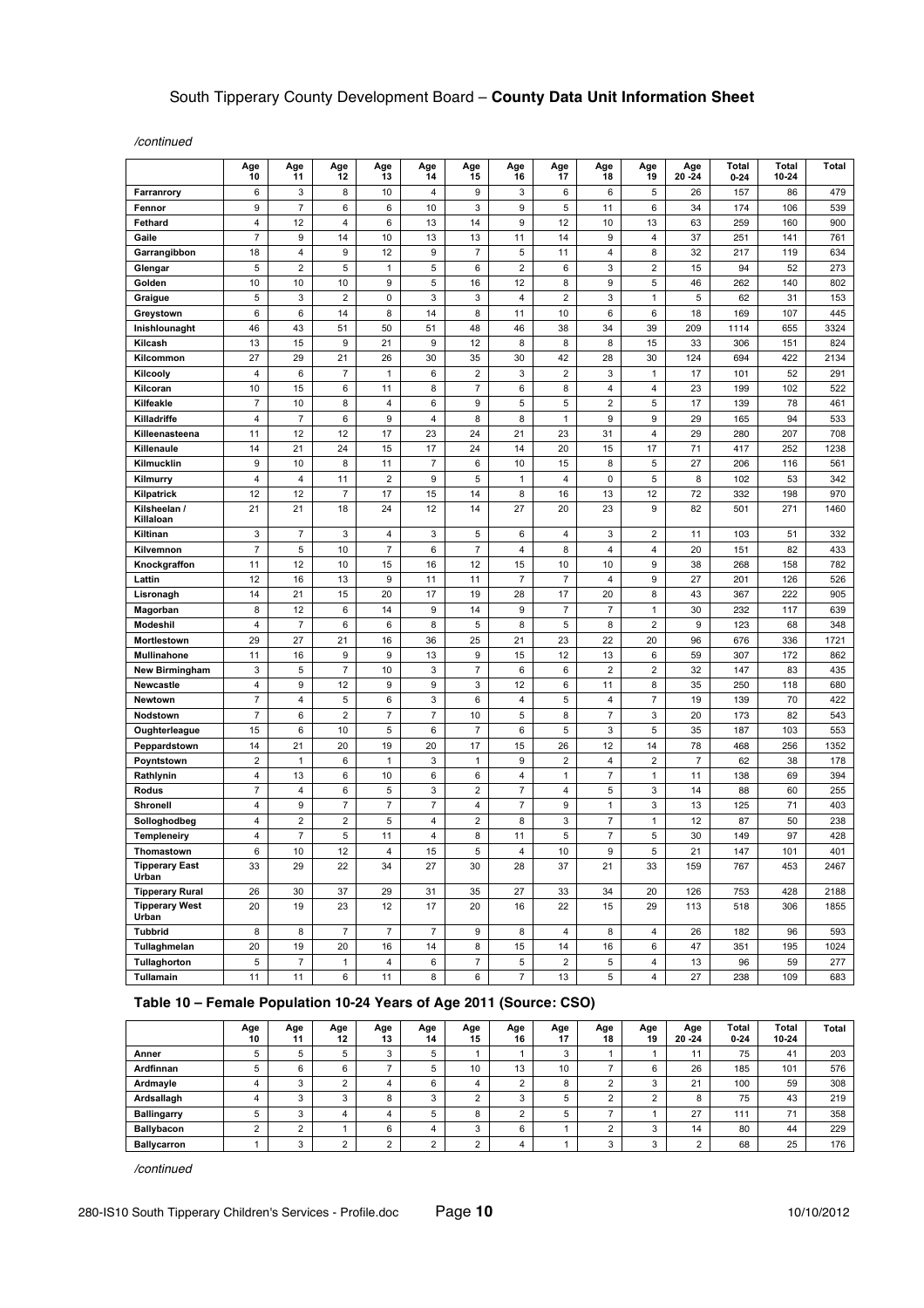*/continued*

|                                      | Age<br>10               | Age<br>11      | Age<br>12           | Age<br>13      | Age<br>14      | Age<br>15               | Age<br>16      | Age<br>17               | Age<br>18         | Age<br>19                    | Age<br>$20 - 24$ | Total<br>0-24 | Total<br>10-24 | Total      |
|--------------------------------------|-------------------------|----------------|---------------------|----------------|----------------|-------------------------|----------------|-------------------------|-------------------|------------------------------|------------------|---------------|----------------|------------|
| Farranrory                           | 6                       | 3              | 8                   | 10             | 4              | 9                       | 3              | 6                       | 6                 | 5                            | 26               | 157           | 86             | 479        |
| Fennor                               | 9                       | $\overline{7}$ | 6                   | 6              | 10             | 3                       | 9              | 5                       | 11                | 6                            | 34               | 174           | 106            | 539        |
| Fethard                              | $\overline{\mathbf{4}}$ | 12             | 4                   | 6              | 13             | 14                      | 9              | 12                      | 10                | 13                           | 63               | 259           | 160            | 900        |
| Gaile                                | $\overline{7}$          | 9              | 14                  | 10             | 13             | 13                      | 11             | 14                      | 9                 | $\overline{4}$               | 37               | 251           | 141            | 761        |
| Garrangibbon                         | 18                      | 4              | 9                   | 12             | 9              | $\overline{7}$          | 5              | 11                      | 4                 | 8                            | 32               | 217           | 119            | 634        |
| Glengar                              | 5                       | $\overline{2}$ | 5                   | $\mathbf{1}$   | 5              | 6                       | $\overline{2}$ | 6                       | 3                 | $\overline{2}$               | 15               | 94            | 52             | 273        |
| Golden                               | 10                      | 10             | 10                  | 9              | 5              | 16                      | 12             | 8                       | 9                 | 5                            | 46               | 262           | 140            | 802        |
| Graigue                              | 5                       | 3              | $\overline{2}$      | 0              | 3              | 3                       | 4              | $\overline{2}$          | 3                 | $\mathbf{1}$                 | 5                | 62            | 31             | 153        |
| Greystown                            | 6                       | 6              | 14                  | 8              | 14             | 8                       | 11             | 10                      | 6                 | 6                            | 18               | 169           | 107            | 445        |
| Inishlounaght                        | 46                      | 43             | 51                  | 50             | 51             | 48                      | 46             | 38                      | 34                | 39                           | 209              | 1114          | 655            | 3324       |
| Kilcash                              | 13                      | 15             | 9                   | 21             | 9              | 12                      | 8              | 8                       | 8                 | 15                           | 33               | 306           | 151            | 824        |
| Kilcommon                            | 27                      | 29             | 21                  | 26             | 30             | 35                      | 30             | 42                      | 28                | 30                           | 124              | 694           | 422            | 2134       |
| Kilcooly                             | 4                       | 6              | $\overline{7}$      | 1              | 6              | 2                       | 3              | $\overline{\mathbf{c}}$ | 3                 | 1                            | 17               | 101           | 52             | 291        |
| Kilcoran                             | 10                      | 15             | 6                   | 11             | 8              | $\overline{7}$          | 6              | 8                       | 4                 | 4                            | 23               | 199           | 102            | 522        |
| Kilfeakle                            | $\overline{7}$          | 10             | 8                   | 4              | 6              | 9                       | 5              | 5                       | $\mathbf 2$       | 5                            | 17               | 139           | 78             | 461        |
| Killadriffe                          | $\overline{4}$          | $\overline{7}$ | 6                   | 9              | 4              | 8                       | 8              | $\mathbf{1}$            | 9                 | 9                            | 29               | 165           | 94             | 533        |
| Killeenasteena                       | 11                      | 12             | 12                  | 17             | 23             | 24                      | 21             | 23                      | 31                | $\pmb{4}$                    | 29               | 280           | 207            | 708        |
| Killenaule                           | 14                      | 21             | 24                  | 15             | 17             | 24                      | 14             | 20                      | 15                | 17                           | 71               | 417           | 252            | 1238       |
| Kilmucklin                           | 9                       | 10             | 8                   | 11             | $\overline{7}$ | 6                       | 10             | 15                      | 8                 | 5                            | 27               | 206           | 116            | 561        |
| Kilmurry                             | $\overline{\mathbf{4}}$ | 4              | 11                  | $\overline{2}$ | 9              | 5                       | 1              | 4                       | 0                 | 5                            | 8                | 102           | 53             | 342        |
| Kilpatrick                           | 12                      | 12             | $\overline{7}$      | 17             | 15             | 14                      | 8              | 16                      | 13                | 12                           | 72               | 332           | 198            | 970        |
| Kilsheelan /<br>Killaloan            | 21                      | 21             | 18                  | 24             | 12             | 14                      | 27             | 20                      | 23                | 9                            | 82               | 501           | 271            | 1460       |
| Kiltinan                             | 3                       | 7              | 3                   | 4              | 3              | 5                       | 6              | 4                       | 3                 | $\overline{c}$               | 11               | 103           | 51             | 332        |
| Kilvemnon                            | $\overline{7}$          | 5              | 10                  | $\overline{7}$ | 6              | $\overline{7}$          | 4              | 8                       | 4                 | $\pmb{4}$                    | 20               | 151           | 82             | 433        |
| Knockgraffon                         | 11                      | 12             | 10                  | 15             | 16             | 12                      | 15             | 10                      | 10                | 9                            | 38               | 268           | 158            | 782        |
| Lattin                               | 12                      | 16             | 13                  | 9              | 11             | 11                      | $\overline{7}$ | $\overline{7}$          | 4                 | 9                            | 27               | 201           | 126            | 526        |
| Lisronagh                            | 14                      | 21             | 15                  | 20             | 17             | 19                      | 28             | 17                      | 20                | 8                            | 43               | 367           | 222            | 905        |
| Magorban                             | 8                       | 12             | 6                   | 14             | 9              | 14                      | 9              | $\overline{7}$          | $\overline{7}$    | $\mathbf{1}$                 | 30               | 232           | 117            | 639        |
| Modeshil                             | $\overline{4}$          | $\overline{7}$ | 6                   | 6              | 8              | 5                       | 8              | 5                       | 8                 | $\overline{2}$               | 9                | 123           | 68             | 348        |
| Mortlestown                          | 29                      | 27             | 21                  | 16             | 36             | 25                      | 21             | 23                      | 22                | 20                           | 96               | 676           | 336            | 1721       |
| Mullinahone<br><b>New Birmingham</b> | 11<br>3                 | 16<br>5        | 9<br>$\overline{7}$ | 9<br>10        | 13<br>3        | 9<br>$\overline{7}$     | 15<br>6        | 12<br>6                 | 13<br>$\mathbf 2$ | 6<br>$\overline{\mathbf{c}}$ | 59<br>32         | 307<br>147    | 172<br>83      | 862<br>435 |
| Newcastle                            | $\overline{4}$          | 9              |                     | 9              | 9              | 3                       |                | 6                       | 11                | 8                            |                  |               |                | 680        |
| Newtown                              | $\overline{7}$          | 4              | 12<br>5             | 6              | 3              | 6                       | 12<br>4        | 5                       | 4                 | $\overline{7}$               | 35<br>19         | 250<br>139    | 118<br>70      | 422        |
| Nodstown                             | $\overline{7}$          | 6              | $\overline{2}$      | $\overline{7}$ | $\overline{7}$ | 10                      | 5              | 8                       | $\overline{7}$    | 3                            | 20               | 173           | 82             | 543        |
| Oughterleague                        | 15                      | 6              | 10                  | 5              | 6              | 7                       | 6              | 5                       | 3                 | 5                            | 35               | 187           | 103            | 553        |
| Peppardstown                         | 14                      | 21             | 20                  | 19             | 20             | 17                      | 15             | 26                      | 12                | 14                           | 78               | 468           | 256            | 1352       |
| Poyntstown                           | $\overline{\mathbf{c}}$ | $\mathbf{1}$   | 6                   | $\mathbf{1}$   | 3              | $\mathbf{1}$            | 9              | $\overline{\mathbf{c}}$ | 4                 | $\overline{\mathbf{c}}$      | $\boldsymbol{7}$ | 62            | 38             | 178        |
| Rathlynin                            | 4                       | 13             | 6                   | 10             | 6              | 6                       | 4              | $\mathbf{1}$            | $\overline{7}$    | $\mathbf{1}$                 | 11               | 138           | 69             | 394        |
| Rodus                                | 7                       | 4              | 6                   | 5              | 3              | 2                       | 7              | 4                       | 5                 | 3                            | 14               | 88            | 60             | 255        |
| Shronell                             | 4                       | 9              | $\overline{7}$      | $\overline{7}$ | $\overline{7}$ | 4                       | $\overline{7}$ | 9                       | $\mathbf{1}$      | 3                            | 13               | 125           | 71             | 403        |
| Solloghodbeg                         | 4                       | 2              | 2                   | 5              | 4              | $\overline{\mathbf{c}}$ | 8              | 3                       | 7                 | $\mathbf{1}$                 | 12               | 87            | 50             | 238        |
| Templeneiry                          | 4                       | $\overline{7}$ | 5                   | 11             | 4              | 8                       | 11             | 5                       | $\overline{7}$    | 5                            | 30               | 149           | 97             | 428        |
| Thomastown                           | 6                       | 10             | 12                  | 4              | 15             | 5                       | 4              | 10                      | 9                 | 5                            | 21               | 147           | 101            | 401        |
| <b>Tipperary East</b><br>Urban       | 33                      | 29             | 22                  | 34             | 27             | 30                      | 28             | 37                      | 21                | 33                           | 159              | 767           | 453            | 2467       |
| <b>Tipperary Rural</b>               | 26                      | 30             | 37                  | 29             | 31             | 35                      | 27             | 33                      | 34                | 20                           | 126              | 753           | 428            | 2188       |
| <b>Tipperary West</b><br>Urban       | 20                      | 19             | 23                  | 12             | 17             | 20                      | 16             | 22                      | 15                | 29                           | 113              | 518           | 306            | 1855       |
| <b>Tubbrid</b>                       | 8                       | 8              | $\overline{7}$      | $\overline{7}$ | $\overline{7}$ | 9                       | 8              | 4                       | 8                 | 4                            | 26               | 182           | 96             | 593        |
| Tullaghmelan                         | 20                      | 19             | 20                  | 16             | 14             | 8                       | 15             | 14                      | 16                | 6                            | 47               | 351           | 195            | 1024       |
| Tullaghorton                         | $\,$ 5 $\,$             | $\overline{7}$ | $\mathbf{1}$        | 4              | 6              | $\boldsymbol{7}$        | 5              | $\overline{2}$          | 5                 | $\overline{\mathbf{4}}$      | 13               | 96            | 59             | 277        |
| Tullamain                            | 11                      | 11             | 6                   | 11             | 8              | 6                       | $\overline{7}$ | 13                      | 5                 | 4                            | 27               | 238           | 109            | 683        |

### **Table 10 – Female Population 10-24 Years of Age 2011 (Source: CSO)**

|                    | Age<br>10 | Age    | Age<br>12  | Age<br>13 | Age<br>14                | Age<br>15 | Age<br>16                | Age | Age<br>18 | Age<br>19  | Age<br>$20 - 24$ | Total<br>$0 - 24$ | Total<br>10-24 | <b>Total</b> |
|--------------------|-----------|--------|------------|-----------|--------------------------|-----------|--------------------------|-----|-----------|------------|------------------|-------------------|----------------|--------------|
| Anner              |           |        | 5          |           |                          |           |                          |     |           |            |                  | 75                | 41             | 203          |
| Ardfinnan          |           | 6      | 6          |           |                          | 10        | 13                       | 10  |           | 6          | 26               | 185               | 101            | 576          |
| Ardmayle           |           |        | $\sqrt{2}$ |           | $\overline{\phantom{0}}$ |           | $\overline{\phantom{0}}$ |     |           | $\sqrt{2}$ | 21               | 100               | 59             | 308          |
| Ardsallagh         | 4         | ⌒      | ◠<br>J     |           |                          | $\sim$    |                          |     |           |            |                  | 75                | 43             | 219          |
| <b>Ballingarry</b> |           |        | 4          |           |                          | 8         |                          |     |           |            | 27               | 111               | 71             | 358          |
| <b>Ballybacon</b>  |           | $\sim$ |            |           |                          | 3         | 6                        |     |           | ◠          | 14               | 80                | 44             | 229          |
| <b>Ballycarron</b> |           |        |            |           |                          | $\sim$    |                          |     |           |            |                  | 68                | 25             | 176          |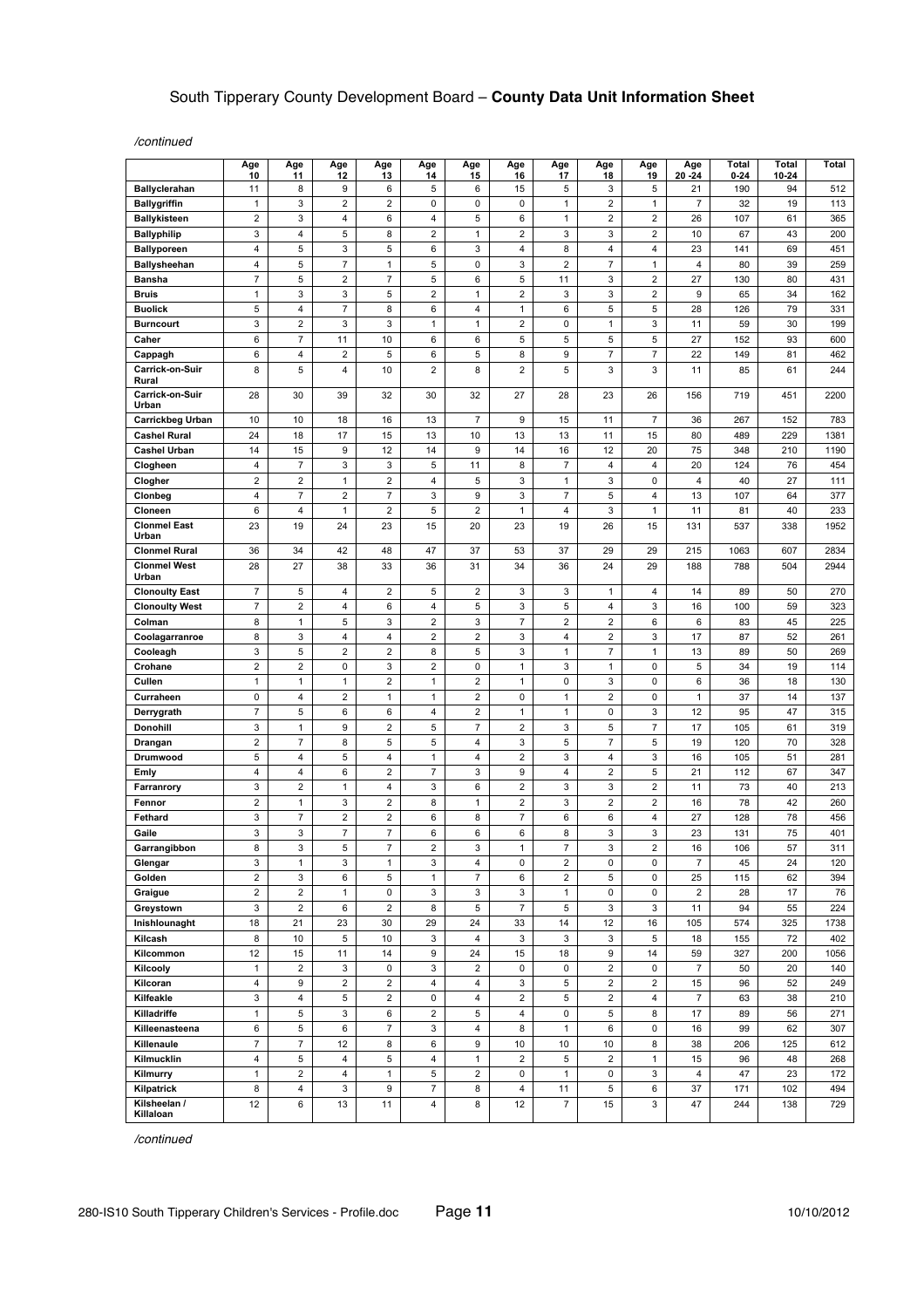*/continued*

|                                 | Age<br>10               | Age<br>11                                 | Age<br>12                      | Age<br>13               | Age<br>14                 | Age<br>15               | Age<br>16               | Age<br>17                      | Age<br>18               | Age<br>19               | Age<br>$20 - 24$        | Total<br>$0 - 24$ | Total<br>10-24 | Total       |
|---------------------------------|-------------------------|-------------------------------------------|--------------------------------|-------------------------|---------------------------|-------------------------|-------------------------|--------------------------------|-------------------------|-------------------------|-------------------------|-------------------|----------------|-------------|
| <b>Ballyclerahan</b>            | 11                      | 8                                         | 9                              | 6                       | 5                         | 6                       | 15                      | 5                              | 3                       | 5                       | 21                      | 190               | 94             | 512         |
| <b>Ballygriffin</b>             | $\mathbf{1}$            | 3                                         | $\sqrt{2}$                     | $\overline{\mathbf{c}}$ | 0                         | 0                       | 0                       | $\mathbf{1}$                   | $\overline{\mathbf{c}}$ | 1                       | $\overline{7}$          | 32                | 19             | 113         |
| <b>Ballykisteen</b>             | $\overline{2}$          | 3                                         | 4                              | 6                       | 4                         | 5                       | 6                       | $\mathbf{1}$                   | $\overline{\mathbf{c}}$ | $\overline{2}$          | 26                      | 107               | 61             | 365         |
| <b>Ballyphilip</b>              | 3                       | 4                                         | 5                              | 8                       | $\overline{\mathbf{c}}$   | 1                       | $\overline{2}$          | 3                              | 3                       | 2                       | 10                      | 67                | 43             | 200         |
| <b>Ballyporeen</b>              | $\overline{4}$          | 5                                         | 3                              | 5                       | 6                         | 3                       | 4                       | 8                              | 4                       | 4                       | 23                      | 141               | 69             | 451         |
| <b>Ballysheehan</b>             | 4                       | 5                                         | $\boldsymbol{7}$               | $\mathbf{1}$            | 5                         | 0                       | 3                       | $\overline{2}$                 | $\overline{7}$          | 1                       | 4                       | 80                | 39             | 259         |
| Bansha                          | $\overline{7}$          | 5                                         | $\sqrt{2}$                     | $\overline{7}$          | 5                         | 6                       | 5                       | 11                             | 3                       | $\overline{\mathbf{c}}$ | 27                      | 130               | 80             | 431         |
| <b>Bruis</b>                    | $\mathbf{1}$            | 3                                         | 3                              | 5                       | 2                         | 1                       | 2                       | 3                              | 3                       | 2                       | 9                       | 65                | 34             | 162         |
| <b>Buolick</b>                  | 5                       | 4                                         | $\overline{7}$                 | 8                       | 6                         | 4                       | $\mathbf{1}$            | 6                              | 5                       | 5                       | 28                      | 126               | 79             | 331         |
| <b>Burncourt</b><br>Caher       | 3<br>6                  | $\overline{\mathbf{c}}$<br>$\overline{7}$ | 3<br>11                        | 3<br>10                 | 1<br>6                    | 1<br>6                  | 2<br>5                  | 0<br>5                         | 1<br>5                  | 3<br>5                  | 11<br>27                | 59<br>152         | 30<br>93       | 199<br>600  |
| Cappagh                         | 6                       | 4                                         | $\overline{c}$                 | 5                       | 6                         | 5                       | 8                       | 9                              | 7                       | 7                       | 22                      | 149               | 81             | 462         |
| Carrick-on-Suir                 | 8                       | 5                                         | 4                              | 10                      | $\overline{2}$            | 8                       | $\overline{2}$          | 5                              | 3                       | 3                       | 11                      | 85                | 61             | 244         |
| Rural                           |                         |                                           |                                |                         |                           |                         |                         |                                |                         |                         |                         |                   |                |             |
| <b>Carrick-on-Suir</b><br>Urban | 28                      | 30                                        | 39                             | 32                      | 30                        | 32                      | 27                      | 28                             | 23                      | 26                      | 156                     | 719               | 451            | 2200        |
| Carrickbeg Urban                | 10                      | 10                                        | 18                             | 16                      | 13                        | 7                       | 9                       | 15                             | 11                      | 7                       | 36                      | 267               | 152            | 783         |
| <b>Cashel Rural</b>             | 24                      | 18                                        | 17                             | 15                      | 13                        | 10                      | 13                      | 13                             | 11                      | 15                      | 80                      | 489               | 229            | 1381        |
| <b>Cashel Urban</b>             | 14                      | 15                                        | 9                              | 12                      | 14                        | 9                       | 14                      | 16                             | 12                      | 20                      | 75                      | 348               | 210            | 1190        |
| Clogheen                        | 4<br>$\overline{2}$     | $\overline{7}$<br>$\overline{2}$          | 3                              | 3<br>$\overline{2}$     | 5<br>4                    | 11<br>5                 | 8<br>3                  | $\overline{7}$<br>$\mathbf{1}$ | 4                       | 4<br>0                  | 20<br>4                 | 124<br>40         | 76<br>27       | 454         |
| Clogher                         | 4                       | $\overline{7}$                            | $\mathbf{1}$<br>$\overline{2}$ | $\overline{7}$          | 3                         | 9                       | 3                       | $\overline{7}$                 | 3<br>5                  | 4                       | 13                      | 107               | 64             | 111<br>377  |
| Clonbeg<br>Cloneen              | 6                       | 4                                         | $\mathbf{1}$                   | $\overline{\mathbf{c}}$ | 5                         | 2                       | 1                       | 4                              | 3                       | 1                       | 11                      | 81                | 40             | 233         |
| <b>Clonmel East</b><br>Urban    | 23                      | 19                                        | 24                             | 23                      | 15                        | 20                      | 23                      | 19                             | 26                      | 15                      | 131                     | 537               | 338            | 1952        |
| <b>Clonmel Rural</b>            | 36                      | 34                                        | 42                             | 48                      | 47                        | 37                      | 53                      | 37                             | 29                      | 29                      | 215                     | 1063              | 607            | 2834        |
| <b>Clonmel West</b><br>Urban    | 28                      | 27                                        | 38                             | 33                      | 36                        | 31                      | 34                      | 36                             | 24                      | 29                      | 188                     | 788               | 504            | 2944        |
| <b>Clonoulty East</b>           | $\overline{7}$          | 5                                         | $\overline{4}$                 | $\overline{2}$          | 5                         | $\overline{c}$          | 3                       | 3                              | $\mathbf{1}$            | 4                       | 14                      | 89                | 50             | 270         |
| <b>Clonoulty West</b>           | $\overline{7}$          | 2                                         | 4                              | 6                       | 4                         | 5                       | 3                       | 5                              | 4                       | 3                       | 16                      | 100               | 59             | 323         |
| Colman                          | 8                       | $\mathbf{1}$                              | 5                              | 3                       | $\overline{\mathbf{c}}$   | 3                       | $\overline{7}$          | $\overline{2}$                 | $\overline{\mathbf{c}}$ | 6                       | 6                       | 83                | 45             | 225         |
| Coolagarranroe                  | 8                       | 3                                         | $\pmb{4}$                      | $\pmb{4}$               | $\overline{\mathbf{c}}$   | $\mathbf 2$             | 3                       | 4                              | $\overline{\mathbf{c}}$ | 3                       | 17                      | 87                | 52             | 261         |
| Cooleagh                        | 3                       | 5                                         | $\overline{2}$                 | $\overline{2}$          | 8                         | 5                       | 3                       | $\mathbf{1}$                   | $\overline{7}$          | 1                       | 13                      | 89                | 50             | 269         |
| Crohane                         | $\overline{2}$          | $\overline{2}$                            | 0                              | 3                       | $\overline{\mathbf{c}}$   | 0                       | $\mathbf{1}$            | 3                              | $\mathbf{1}$            | 0                       | 5                       | 34                | 19             | 114         |
| Cullen                          | $\mathbf{1}$            | $\mathbf{1}$                              | $\mathbf{1}$                   | $\overline{2}$          | 1                         | $\overline{c}$          | $\mathbf{1}$            | 0                              | 3                       | 0                       | 6                       | 36                | 18             | 130         |
| Curraheen                       | 0                       | 4                                         | $\overline{c}$                 | 1                       | 1                         | 2                       | 0                       | $\mathbf{1}$                   | $\overline{\mathbf{c}}$ | 0                       | $\mathbf{1}$            | 37                | 14             | 137         |
| Derrygrath                      | $\overline{7}$          | 5                                         | 6                              | 6                       | 4                         | $\overline{c}$          | $\mathbf{1}$            | $\mathbf{1}$                   | 0                       | 3                       | 12                      | 95                | 47             | 315         |
| Donohill                        | 3<br>$\overline{2}$     | 1<br>$\overline{7}$                       | 9<br>8                         | 2<br>5                  | 5<br>5                    | 7<br>4                  | 2<br>3                  | 3<br>5                         | 5<br>$\overline{7}$     | 7<br>5                  | 17<br>19                | 105<br>120        | 61<br>70       | 319<br>328  |
| Drangan<br>Drumwood             | 5                       | 4                                         | 5                              | 4                       | 1                         | 4                       | 2                       | 3                              | 4                       | 3                       | 16                      | 105               | 51             | 281         |
| Emly                            | 4                       | 4                                         | 6                              | $\overline{\mathbf{c}}$ | $\overline{7}$            | 3                       | 9                       | 4                              | $\overline{\mathbf{c}}$ | 5                       | 21                      | 112               | 67             | 347         |
| Farranrory                      | 3                       | $\overline{2}$                            | $\mathbf{1}$                   | $\overline{4}$          | 3                         | 6                       | $\overline{\mathbf{c}}$ | 3                              | 3                       | $\overline{c}$          | 11                      | 73                | 40             | 213         |
| Fennor                          | $\overline{2}$          | $\mathbf{1}$                              | 3                              | $\overline{2}$          | 8                         | 1                       | $\overline{2}$          | 3                              | $\overline{\mathbf{c}}$ | 2                       | 16                      | 78                | 42             | 260         |
| Fethard                         | 3                       | $\overline{7}$                            | $\sqrt{2}$                     | $\overline{\mathbf{c}}$ | 6                         | 8                       | $\overline{7}$          | 6                              | 6                       | 4                       | 27                      | 128               | 78             | 456         |
| Gaile                           | 3                       | 3                                         | $\overline{7}$                 | $\overline{7}$          | 6                         | 6                       | 6                       | 8                              | 3                       | 3                       | 23                      | 131               | 75             | 401         |
| Garrangibbon                    | 8                       | 3                                         | 5                              | $\overline{7}$          | $\overline{2}$            | 3                       | $\overline{1}$          | $\overline{7}$                 | 3                       | $\overline{2}$          | 16                      | 106               | 57             | 311         |
| Glengar                         | 3                       | $\mathbf{1}$                              | 3                              | $\mathbf{1}$            | 3                         | $\overline{4}$          | 0                       | $\mathbf 2$                    | $\pmb{0}$               | 0                       | $\overline{7}$          | 45                | 24             | 120         |
| Golden                          | $\mathbf 2$             | 3                                         | 6                              | 5                       | $\mathbf{1}$              | $\boldsymbol{7}$        | 6                       | $\overline{\mathbf{c}}$        | 5                       | 0                       | 25                      | 115               | 62             | 394         |
| Graigue                         | $\overline{\mathbf{c}}$ | $\mathbf 2$                               | $\mathbf{1}$                   | $\pmb{0}$               | 3                         | 3                       | 3                       | $\mathbf{1}$                   | 0                       | 0                       | $\overline{\mathbf{c}}$ | 28                | 17             | 76          |
| Greystown                       | 3                       | $\overline{2}$                            | 6                              | $\overline{2}$          | 8                         | 5                       | $\overline{7}$          | 5                              | 3                       | 3                       | 11                      | 94                | 55             | 224         |
| Inishlounaght                   | 18                      | 21                                        | 23                             | 30                      | 29                        | 24                      | 33                      | 14                             | 12                      | 16                      | 105                     | 574               | 325            | 1738        |
| Kilcash<br>Kilcommon            | 8<br>12                 | 10<br>15                                  | 5<br>11                        | $10$<br>14              | 3<br>9                    | $\overline{4}$<br>24    | 3<br>15                 | 3<br>18                        | 3<br>9                  | 5<br>14                 | 18<br>59                | 155<br>327        | 72<br>200      | 402<br>1056 |
| Kilcooly                        | $\mathbf{1}$            | $\overline{2}$                            | $\ensuremath{\mathsf{3}}$      | 0                       | 3                         | $\overline{2}$          | $\pmb{0}$               | 0                              | $\overline{2}$          | 0                       | $\overline{7}$          | 50                | 20             | 140         |
| Kilcoran                        | 4                       | 9                                         | $\sqrt{2}$                     | $\overline{c}$          | 4                         | 4                       | 3                       | 5                              | $\overline{\mathbf{c}}$ | $\overline{2}$          | 15                      | 96                | 52             | 249         |
| Kilfeakle                       | 3                       | 4                                         | $\,$ 5 $\,$                    | $\overline{2}$          | 0                         | $\overline{4}$          | $\overline{\mathbf{c}}$ | 5                              | $\overline{2}$          | $\overline{4}$          | $\overline{7}$          | 63                | 38             | 210         |
| Killadriffe                     | $\mathbf{1}$            | 5                                         | 3                              | 6                       | $\overline{\mathbf{c}}$   | 5                       | 4                       | 0                              | 5                       | 8                       | 17                      | 89                | 56             | 271         |
| Killeenasteena                  | 6                       | 5                                         | $\,6\,$                        | $\overline{7}$          | 3                         | 4                       | 8                       | $\mathbf{1}$                   | 6                       | 0                       | 16                      | 99                | 62             | 307         |
| Killenaule                      | $\overline{7}$          | $\overline{7}$                            | 12                             | 8                       | 6                         | 9                       | 10                      | 10                             | 10                      | 8                       | 38                      | 206               | 125            | 612         |
| Kilmucklin                      | $\overline{4}$          | 5                                         | $\overline{4}$                 | 5                       | $\pmb{4}$                 | $\mathbf{1}$            | $\overline{2}$          | 5                              | $\overline{2}$          | $\mathbf{1}$            | 15                      | 96                | 48             | 268         |
| Kilmurry                        | $\mathbf{1}$            | $\mathbf 2$                               | 4                              | $\mathbf{1}$            | 5                         | $\overline{\mathbf{c}}$ | 0                       | $\mathbf{1}$                   | 0                       | 3                       | 4                       | 47                | 23             | 172         |
| Kilpatrick                      | 8                       | 4                                         | $\ensuremath{\mathsf{3}}$      | 9                       | $\overline{\mathfrak{c}}$ | 8                       | 4                       | 11                             | 5                       | 6                       | 37                      | 171               | 102            | 494         |
| Kilsheelan /<br>Killaloan       | 12                      | 6                                         | 13                             | 11                      | 4                         | 8                       | 12                      | $\overline{7}$                 | 15                      | 3                       | 47                      | 244               | 138            | 729         |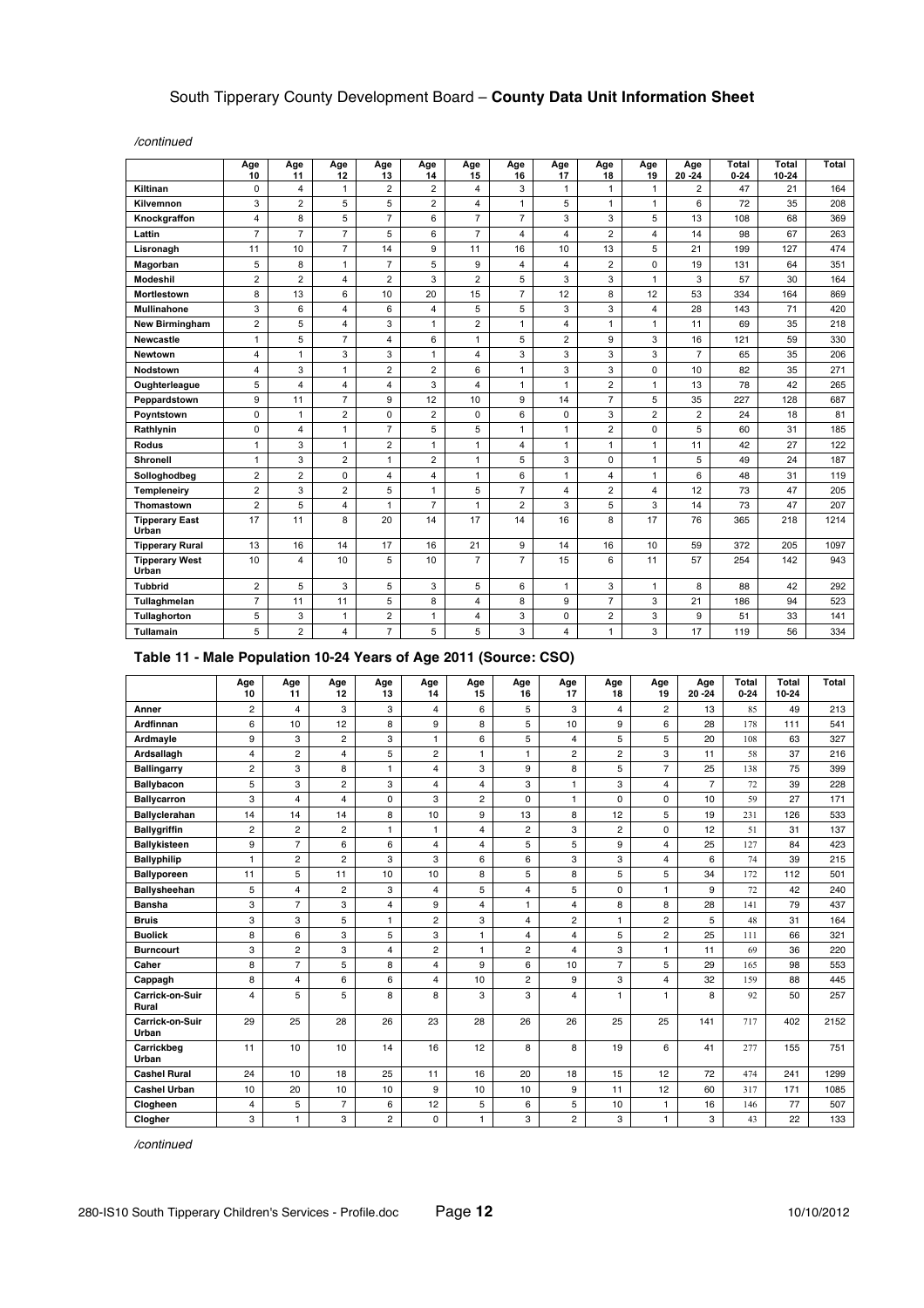*/continued*

|                                | Age<br>10               | Age<br>11      | Age<br>12      | Age<br>13      | Age<br>14      | Age<br>15      | Age<br>16      | Age<br>17      | Age<br>18      | Age<br>19      | Age<br>$20 - 24$ | <b>Total</b><br>$0 - 24$ | <b>Total</b><br>10-24 | Total |
|--------------------------------|-------------------------|----------------|----------------|----------------|----------------|----------------|----------------|----------------|----------------|----------------|------------------|--------------------------|-----------------------|-------|
| Kiltinan                       | $\mathbf 0$             | $\overline{4}$ | $\mathbf{1}$   | $\overline{2}$ | $\overline{2}$ | 4              | 3              | $\mathbf{1}$   | $\mathbf{1}$   | $\mathbf{1}$   | $\overline{2}$   | 47                       | 21                    | 164   |
| Kilvemnon                      | 3                       | $\overline{2}$ | 5              | 5              | $\overline{2}$ | 4              | $\mathbf{1}$   | 5              | $\mathbf{1}$   | $\mathbf{1}$   | 6                | 72                       | 35                    | 208   |
| Knockgraffon                   | 4                       | 8              | 5              | $\overline{7}$ | 6              | $\overline{7}$ | $\overline{7}$ | 3              | 3              | 5              | 13               | 108                      | 68                    | 369   |
| Lattin                         | $\overline{7}$          | $\overline{7}$ | $\overline{7}$ | 5              | 6              | $\overline{7}$ | $\overline{4}$ | 4              | $\overline{2}$ | $\overline{4}$ | 14               | 98                       | 67                    | 263   |
| Lisronagh                      | 11                      | 10             | $\overline{7}$ | 14             | 9              | 11             | 16             | 10             | 13             | 5              | 21               | 199                      | 127                   | 474   |
| Magorban                       | 5                       | 8              | $\mathbf{1}$   | $\overline{7}$ | 5              | 9              | 4              | 4              | $\overline{2}$ | $\mathbf 0$    | 19               | 131                      | 64                    | 351   |
| Modeshil                       | $\overline{2}$          | $\overline{2}$ | $\overline{4}$ | $\overline{2}$ | 3              | $\overline{2}$ | 5              | 3              | 3              | $\mathbf{1}$   | 3                | 57                       | 30                    | 164   |
| Mortlestown                    | 8                       | 13             | 6              | 10             | 20             | 15             | $\overline{7}$ | 12             | 8              | 12             | 53               | 334                      | 164                   | 869   |
| <b>Mullinahone</b>             | 3                       | 6              | $\overline{4}$ | 6              | $\overline{4}$ | 5              | 5              | 3              | 3              | $\overline{4}$ | 28               | 143                      | 71                    | 420   |
| New Birmingham                 | $\overline{2}$          | 5              | 4              | 3              | $\mathbf{1}$   | $\overline{2}$ | 1              | 4              | $\mathbf{1}$   | $\mathbf{1}$   | 11               | 69                       | 35                    | 218   |
| Newcastle                      | 1                       | 5              | $\overline{7}$ | $\overline{4}$ | 6              | $\mathbf{1}$   | 5              | $\overline{2}$ | 9              | 3              | 16               | 121                      | 59                    | 330   |
| <b>Newtown</b>                 | 4                       | $\mathbf{1}$   | 3              | 3              | $\mathbf{1}$   | 4              | 3              | 3              | 3              | 3              | $\overline{7}$   | 65                       | 35                    | 206   |
| <b>Nodstown</b>                | 4                       | 3              | $\mathbf{1}$   | $\overline{2}$ | $\overline{2}$ | 6              | 1              | 3              | 3              | $\mathbf 0$    | 10               | 82                       | 35                    | 271   |
| Oughterleague                  | 5                       | $\overline{4}$ | 4              | 4              | 3              | 4              | $\mathbf{1}$   | $\mathbf{1}$   | $\overline{2}$ | $\mathbf{1}$   | 13               | 78                       | 42                    | 265   |
| Peppardstown                   | 9                       | 11             | $\overline{7}$ | 9              | 12             | 10             | 9              | 14             | $\overline{7}$ | 5              | 35               | 227                      | 128                   | 687   |
| Poyntstown                     | $\mathbf 0$             | $\mathbf{1}$   | $\overline{c}$ | $\mathbf 0$    | $\overline{2}$ | 0              | 6              | 0              | 3              | $\overline{c}$ | 2                | 24                       | 18                    | 81    |
| Rathlynin                      | $\mathbf 0$             | $\overline{4}$ | $\mathbf{1}$   | $\overline{7}$ | 5              | 5              | 1              | $\mathbf{1}$   | $\overline{2}$ | $\mathbf 0$    | 5                | 60                       | 31                    | 185   |
| Rodus                          | 1                       | 3              | $\mathbf{1}$   | $\overline{c}$ | $\mathbf{1}$   | $\mathbf{1}$   | 4              | $\mathbf{1}$   | $\mathbf{1}$   | $\mathbf{1}$   | 11               | 42                       | 27                    | 122   |
| Shronell                       | 1                       | 3              | $\overline{c}$ | 1              | $\overline{2}$ | 1              | 5              | 3              | $\mathbf 0$    | $\mathbf{1}$   | 5                | 49                       | 24                    | 187   |
| Solloghodbeg                   | $\overline{2}$          | $\overline{2}$ | $\mathbf 0$    | 4              | $\overline{4}$ | $\mathbf{1}$   | 6              | $\mathbf{1}$   | 4              | $\mathbf{1}$   | 6                | 48                       | 31                    | 119   |
| Templeneiry                    | $\overline{2}$          | 3              | $\overline{2}$ | 5              | 1              | 5              | $\overline{7}$ | 4              | $\overline{2}$ | $\overline{4}$ | 12               | 73                       | 47                    | 205   |
| Thomastown                     | $\overline{\mathbf{c}}$ | 5              | 4              | 1              | $\overline{7}$ | 1              | $\overline{2}$ | 3              | 5              | 3              | 14               | 73                       | 47                    | 207   |
| <b>Tipperary East</b><br>Urban | 17                      | 11             | 8              | 20             | 14             | 17             | 14             | 16             | 8              | 17             | 76               | 365                      | 218                   | 1214  |
| <b>Tipperary Rural</b>         | 13                      | 16             | 14             | 17             | 16             | 21             | 9              | 14             | 16             | 10             | 59               | 372                      | 205                   | 1097  |
| <b>Tipperary West</b><br>Urban | 10                      | 4              | 10             | 5              | 10             | $\overline{7}$ | $\overline{7}$ | 15             | 6              | 11             | 57               | 254                      | 142                   | 943   |
| <b>Tubbrid</b>                 | $\overline{2}$          | 5              | 3              | 5              | 3              | 5              | 6              | $\mathbf{1}$   | 3              | $\mathbf{1}$   | 8                | 88                       | 42                    | 292   |
| Tullaghmelan                   | $\overline{7}$          | 11             | 11             | 5              | 8              | 4              | 8              | 9              | $\overline{7}$ | 3              | 21               | 186                      | 94                    | 523   |
| Tullaghorton                   | 5                       | 3              | $\mathbf{1}$   | $\overline{2}$ | $\mathbf{1}$   | 4              | 3              | 0              | $\overline{2}$ | 3              | 9                | 51                       | 33                    | 141   |
| Tullamain                      | 5                       | $\overline{2}$ | 4              | $\overline{7}$ | 5              | 5              | 3              | 4              | $\mathbf{1}$   | 3              | 17               | 119                      | 56                    | 334   |

### **Table 11 - Male Population 10-24 Years of Age 2011 (Source: CSO)**

|                          | Age<br>10      | Age<br>11      | Age<br>12      | Age<br>13      | Age<br>14               | Age<br>15      | Age<br>16      | Age<br>17      | Age<br>18      | Age<br>19      | Age<br>$20 - 24$ | <b>Total</b><br>$0 - 24$ | Total<br>$10 - 24$ | Total |
|--------------------------|----------------|----------------|----------------|----------------|-------------------------|----------------|----------------|----------------|----------------|----------------|------------------|--------------------------|--------------------|-------|
| Anner                    | 2              | 4              | 3              | 3              | $\overline{\mathbf{4}}$ | 6              | 5              | 3              | $\overline{4}$ | $\overline{2}$ | 13               | 85                       | 49                 | 213   |
| Ardfinnan                | 6              | 10             | 12             | 8              | 9                       | 8              | 5              | 10             | 9              | 6              | 28               | 178                      | 111                | 541   |
| Ardmayle                 | 9              | 3              | $\overline{c}$ | 3              | $\mathbf{1}$            | 6              | 5              | 4              | 5              | 5              | 20               | 108                      | 63                 | 327   |
| Ardsallagh               | $\overline{4}$ | $\overline{2}$ | $\overline{4}$ | 5              | $\overline{2}$          | $\mathbf{1}$   | $\mathbf{1}$   | $\overline{2}$ | $\overline{2}$ | 3              | 11               | 58                       | 37                 | 216   |
| <b>Ballingarry</b>       | $\overline{2}$ | 3              | 8              | 1              | $\overline{\mathbf{4}}$ | 3              | 9              | 8              | 5              | $\overline{7}$ | 25               | 138                      | 75                 | 399   |
| Ballybacon               | 5              | 3              | $\overline{c}$ | 3              | 4                       | 4              | 3              | 1              | 3              | $\overline{4}$ | $\overline{7}$   | 72                       | 39                 | 228   |
| <b>Ballycarron</b>       | 3              | 4              | $\overline{4}$ | 0              | 3                       | $\overline{c}$ | 0              | 1              | 0              | $\mathbf 0$    | 10               | 59                       | 27                 | 171   |
| Ballyclerahan            | 14             | 14             | 14             | 8              | 10                      | 9              | 13             | 8              | 12             | 5              | 19               | 231                      | 126                | 533   |
| <b>Ballygriffin</b>      | $\overline{c}$ | $\overline{2}$ | $\overline{2}$ | 1              | $\mathbf{1}$            | $\overline{4}$ | $\overline{2}$ | 3              | $\overline{2}$ | $\mathbf 0$    | 12               | 51                       | 31                 | 137   |
| Ballykisteen             | 9              | $\overline{7}$ | 6              | 6              | 4                       | $\overline{4}$ | 5              | 5              | 9              | $\overline{4}$ | 25               | 127                      | 84                 | 423   |
| <b>Ballyphilip</b>       | 1              | $\overline{2}$ | $\overline{2}$ | 3              | 3                       | 6              | 6              | 3              | 3              | $\overline{4}$ | 6                | 74                       | 39                 | 215   |
| <b>Ballyporeen</b>       | 11             | 5              | 11             | 10             | 10                      | 8              | 5              | 8              | 5              | 5              | 34               | 172                      | 112                | 501   |
| <b>Ballysheehan</b>      | 5              | 4              | $\overline{c}$ | 3              | $\overline{\mathbf{4}}$ | 5              | 4              | 5              | $\Omega$       | $\mathbf{1}$   | 9                | 72                       | 42                 | 240   |
| <b>Bansha</b>            | 3              | $\overline{7}$ | 3              | 4              | 9                       | $\overline{4}$ | $\mathbf{1}$   | 4              | 8              | 8              | 28               | 141                      | 79                 | 437   |
| <b>Bruis</b>             | 3              | 3              | 5              | 1              | $\overline{2}$          | 3              | 4              | $\overline{2}$ | 1              | $\overline{2}$ | 5                | 48                       | 31                 | 164   |
| <b>Buolick</b>           | 8              | 6              | 3              | 5              | 3                       | $\mathbf{1}$   | $\overline{4}$ | $\overline{4}$ | 5              | $\overline{2}$ | 25               | 111                      | 66                 | 321   |
| <b>Burncourt</b>         | 3              | $\overline{2}$ | 3              | 4              | $\overline{2}$          | $\mathbf{1}$   | $\overline{2}$ | $\overline{4}$ | 3              | $\mathbf{1}$   | 11               | 69                       | 36                 | 220   |
| Caher                    | 8              | $\overline{7}$ | 5              | 8              | $\overline{4}$          | 9              | 6              | 10             | $\overline{7}$ | 5              | 29               | 165                      | 98                 | 553   |
| Cappagh                  | 8              | 4              | 6              | 6              | 4                       | 10             | $\overline{c}$ | 9              | 3              | 4              | 32               | 159                      | 88                 | 445   |
| Carrick-on-Suir<br>Rural | $\overline{4}$ | 5              | 5              | 8              | 8                       | 3              | 3              | 4              | 1              | $\mathbf{1}$   | 8                | 92                       | 50                 | 257   |
| Carrick-on-Suir<br>Urban | 29             | 25             | 28             | 26             | 23                      | 28             | 26             | 26             | 25             | 25             | 141              | 717                      | 402                | 2152  |
| Carrickbeg<br>Urban      | 11             | 10             | 10             | 14             | 16                      | 12             | 8              | 8              | 19             | 6              | 41               | 277                      | 155                | 751   |
| <b>Cashel Rural</b>      | 24             | 10             | 18             | 25             | 11                      | 16             | 20             | 18             | 15             | 12             | 72               | 474                      | 241                | 1299  |
| Cashel Urban             | 10             | 20             | 10             | 10             | 9                       | 10             | 10             | 9              | 11             | 12             | 60               | 317                      | 171                | 1085  |
| Clogheen                 | 4              | 5              | $\overline{7}$ | 6              | 12                      | 5              | 6              | 5              | 10             | 1              | 16               | 146                      | 77                 | 507   |
| Clogher                  | 3              | 1              | 3              | $\overline{c}$ | $\Omega$                | $\mathbf{1}$   | 3              | $\overline{c}$ | 3              | 1              | 3                | 43                       | 22                 | 133   |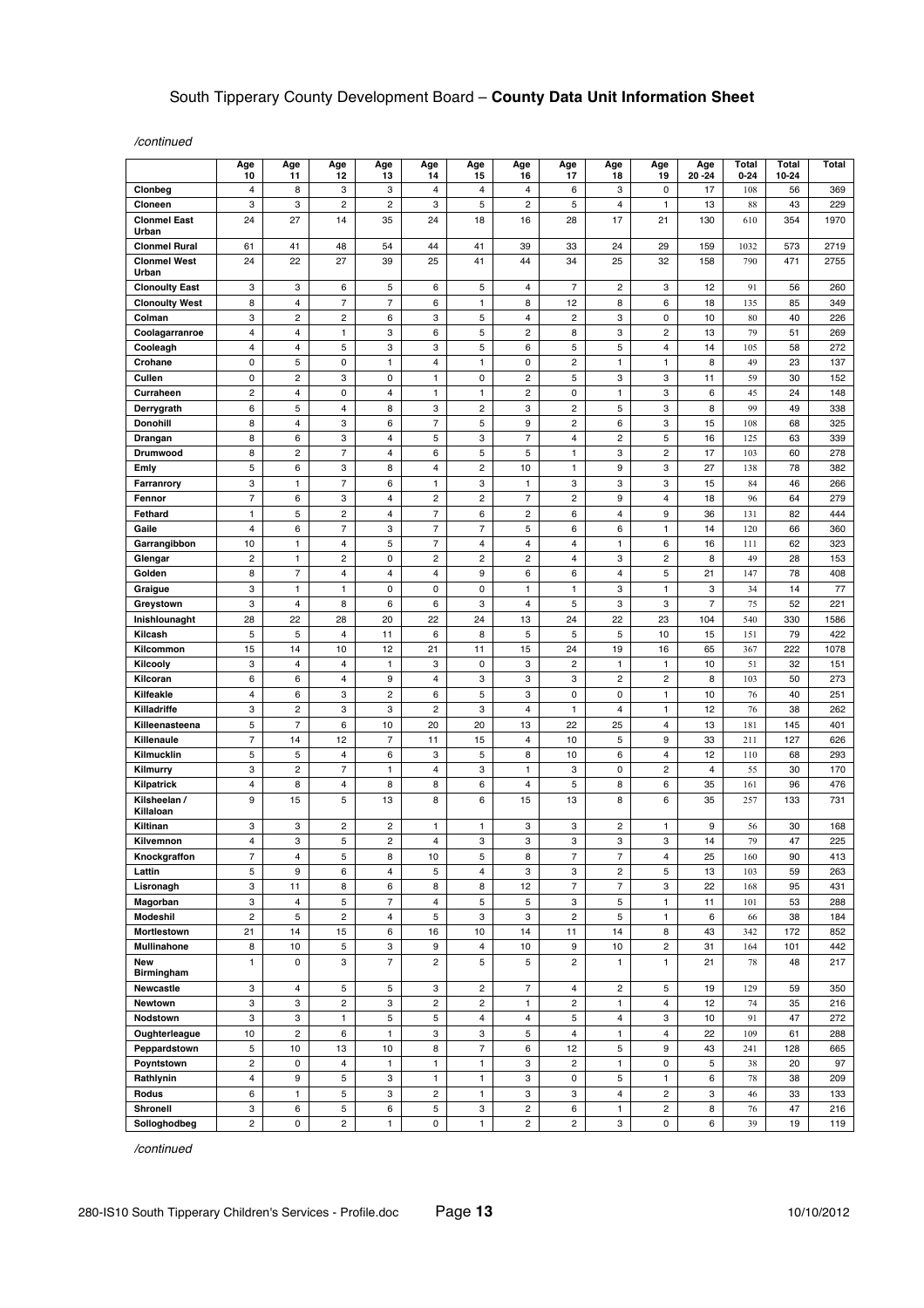*/continued*

|                              | Age<br>10                                 | Age<br>11                                 | Age<br>12                    | Age<br>13                    | Age<br>14               | Age<br>15                    | Age<br>16                      | Age<br>17                     | Age<br>18                                 | Age<br>19                    | Age<br>$20 - 24$ | Total<br>$0 - 24$ | Total<br>10-24 | Total       |
|------------------------------|-------------------------------------------|-------------------------------------------|------------------------------|------------------------------|-------------------------|------------------------------|--------------------------------|-------------------------------|-------------------------------------------|------------------------------|------------------|-------------------|----------------|-------------|
| Clonbeg                      | 4                                         | 8                                         | 3                            | 3                            | 4                       | 4                            | $\overline{4}$                 | 6                             | 3                                         | $\pmb{0}$                    | 17               | 108               | 56             | 369         |
| Cloneen                      | 3                                         | 3                                         | $\overline{c}$               | $\boldsymbol{2}$             | 3                       | 5                            | $\boldsymbol{2}$               | 5                             | 4                                         | $\mathbf{1}$                 | 13               | 88                | 43             | 229         |
| <b>Clonmel East</b><br>Urban | 24                                        | 27                                        | 14                           | 35                           | 24                      | 18                           | 16                             | 28                            | 17                                        | 21                           | 130              | 610               | 354            | 1970        |
| <b>Clonmel Rural</b>         | 61                                        | 41                                        | 48                           | 54                           | 44                      | 41                           | 39                             | 33                            | 24                                        | 29                           | 159              | 1032              | 573            | 2719        |
| <b>Clonmel West</b><br>Urban | 24                                        | 22                                        | 27                           | 39                           | 25                      | 41                           | 44                             | 34                            | 25                                        | 32                           | 158              | 790               | 471            | 2755        |
| <b>Clonoulty East</b>        | 3                                         | 3                                         | 6                            | 5                            | 6                       | 5                            | 4                              | 7                             | 2                                         | 3                            | 12               | 91                | 56             | 260         |
| <b>Clonoulty West</b>        | 8                                         | $\overline{\mathbf{4}}$                   | $\overline{7}$               | $\overline{7}$               | 6                       | $\mathbf{1}$                 | 8                              | 12                            | 8                                         | 6                            | 18               | 135               | 85             | 349         |
| Colman                       | 3                                         | $\overline{c}$                            | $\overline{\mathbf{c}}$      | 6                            | 3                       | 5                            | 4                              | $\overline{c}$                | 3                                         | 0                            | 10               | 80                | 40             | 226         |
| Coolagarranroe<br>Cooleagh   | $\overline{4}$<br>4                       | $\overline{4}$<br>$\overline{\mathbf{4}}$ | 1<br>5                       | 3<br>3                       | 6<br>3                  | 5<br>5                       | $\overline{c}$<br>6            | 8<br>5                        | 3<br>5                                    | $\overline{c}$<br>4          | 13<br>14         | 79<br>105         | 51<br>58       | 269<br>272  |
| Crohane                      | 0                                         | 5                                         | 0                            | $\mathbf{1}$                 | 4                       | 1                            | 0                              | $\overline{c}$                | 1                                         | 1                            | 8                | 49                | 23             | 137         |
| Cullen                       | 0                                         | $\overline{\mathbf{c}}$                   | 3                            | 0                            | 1                       | 0                            | $\overline{\mathbf{c}}$        | 5                             | 3                                         | 3                            | 11               | 59                | 30             | 152         |
| Curraheen                    | $\overline{c}$                            | $\overline{4}$                            | 0                            | $\overline{\mathbf{4}}$      | $\mathbf{1}$            | $\mathbf{1}$                 | $\mathbf{2}$                   | 0                             | $\mathbf{1}$                              | 3                            | 6                | 45                | 24             | 148         |
| Derrygrath                   | 6                                         | 5                                         | 4                            | 8                            | 3                       | 2                            | 3                              | $\overline{\mathbf{c}}$       | 5                                         | 3                            | 8                | 99                | 49             | 338         |
| <b>Donohill</b>              | 8                                         | $\overline{4}$                            | 3                            | 6                            | $\overline{7}$          | 5                            | 9                              | $\overline{c}$                | 6                                         | 3                            | 15               | 108               | 68             | 325         |
| Drangan                      | 8                                         | 6                                         | 3                            | 4                            | 5                       | 3                            | 7                              | 4                             | 2                                         | 5                            | 16               | 125               | 63             | 339         |
| Drumwood                     | 8                                         | $\overline{2}$                            | $\overline{7}$               | $\overline{\mathbf{4}}$      | 6                       | 5                            | 5                              | 1                             | 3                                         | $\overline{c}$               | 17               | 103               | 60             | 278         |
| Emly                         | 5                                         | 6                                         | 3                            | 8                            | 4                       | $\overline{\mathbf{c}}$      | 10                             | $\mathbf{1}$                  | 9                                         | 3                            | 27               | 138               | 78             | 382         |
| Farranrory<br>Fennor         | 3<br>$\overline{7}$                       | $\mathbf{1}$<br>6                         | 7                            | 6<br>$\overline{4}$          | 1<br>$\overline{c}$     | 3<br>$\overline{c}$          | $\mathbf{1}$<br>$\overline{7}$ | 3<br>$\overline{c}$           | 3                                         | 3                            | 15               | 84                | 46             | 266         |
| Fethard                      | $\mathbf{1}$                              | 5                                         | 3<br>$\overline{\mathbf{c}}$ | $\overline{4}$               | $\overline{7}$          | 6                            | $\mathbf{2}$                   | 6                             | 9<br>4                                    | $\overline{\mathbf{4}}$<br>9 | 18<br>36         | 96<br>131         | 64<br>82       | 279<br>444  |
| Gaile                        | $\overline{4}$                            | 6                                         | $\overline{7}$               | 3                            | $\overline{7}$          | $\overline{7}$               | 5                              | 6                             | 6                                         | 1                            | 14               | 120               | 66             | 360         |
| Garrangibbon                 | 10                                        | $\mathbf{1}$                              | $\overline{4}$               | 5                            | $\overline{7}$          | $\overline{4}$               | $\overline{4}$                 | $\overline{\mathbf{4}}$       | 1                                         | 6                            | 16               | 111               | 62             | 323         |
| Glengar                      | $\overline{c}$                            | $\mathbf{1}$                              | $\overline{c}$               | $\mathbf 0$                  | $\overline{c}$          | $\overline{c}$               | $\overline{\mathbf{c}}$        | 4                             | 3                                         | $\overline{c}$               | 8                | 49                | 28             | 153         |
| Golden                       | 8                                         | $\overline{\mathcal{I}}$                  | 4                            | $\overline{\mathbf{4}}$      | 4                       | 9                            | 6                              | 6                             | 4                                         | $\mathbf 5$                  | 21               | 147               | 78             | 408         |
| Graigue                      | 3                                         | $\mathbf{1}$                              | $\mathbf{1}$                 | 0                            | 0                       | 0                            | $\mathbf{1}$                   | $\mathbf{1}$                  | 3                                         | $\mathbf{1}$                 | 3                | 34                | 14             | 77          |
| Greystown                    | 3                                         | 4                                         | 8                            | 6                            | 6                       | 3                            | 4                              | 5                             | 3                                         | 3                            | 7                | 75                | 52             | 221         |
| Inishlounaght                | 28                                        | 22                                        | 28                           | 20                           | 22                      | 24                           | 13                             | 24                            | 22                                        | 23                           | 104              | 540               | 330            | 1586        |
| Kilcash                      | 5                                         | 5                                         | 4                            | 11                           | 6                       | 8                            | 5                              | 5                             | 5                                         | 10                           | 15               | 151               | 79             | 422         |
| Kilcommon<br>Kilcooly        | 15<br>3                                   | 14<br>$\overline{\mathbf{4}}$             | 10<br>4                      | 12<br>$\mathbf{1}$           | 21<br>3                 | 11<br>0                      | 15<br>3                        | 24<br>$\overline{\mathbf{c}}$ | 19<br>1                                   | 16<br>1                      | 65<br>10         | 367<br>51         | 222<br>32      | 1078<br>151 |
| Kilcoran                     | 6                                         | 6                                         | $\overline{4}$               | 9                            | 4                       | 3                            | 3                              | 3                             | $\overline{c}$                            | $\overline{c}$               | 8                | 103               | 50             | 273         |
| Kilfeakle                    | 4                                         | 6                                         | 3                            | $\overline{\mathbf{c}}$      | 6                       | 5                            | 3                              | 0                             | 0                                         | $\mathbf{1}$                 | 10               | 76                | 40             | 251         |
| Killadriffe                  | 3                                         | $\overline{2}$                            | 3                            | 3                            | $\overline{c}$          | 3                            | 4                              | $\mathbf{1}$                  | 4                                         | $\mathbf{1}$                 | 12               | 76                | 38             | 262         |
| Killeenasteena               | 5                                         | 7                                         | 6                            | 10                           | 20                      | 20                           | 13                             | 22                            | 25                                        | 4                            | 13               | 181               | 145            | 401         |
| Killenaule                   | $\overline{7}$                            | 14                                        | 12                           | $\overline{7}$               | 11                      | 15                           | $\overline{4}$                 | 10                            | 5                                         | 9                            | 33               | 211               | 127            | 626         |
| Kilmucklin                   | 5                                         | 5                                         | 4                            | 6                            | 3                       | 5                            | 8                              | 10                            | 6                                         | 4                            | 12               | 110               | 68             | 293         |
| Kilmurry                     | 3                                         | $\overline{c}$                            | 7                            | $\mathbf{1}$                 | $\overline{4}$          | 3                            | $\mathbf{1}$                   | 3                             | $\mathsf 0$                               | 2                            | 4                | 55                | 30             | 170         |
| Kilpatrick<br>Kilsheelan /   | 4<br>9                                    | 8<br>15                                   | $\overline{4}$<br>5          | 8<br>13                      | 8<br>8                  | 6<br>6                       | $\overline{\mathbf{4}}$<br>15  | 5<br>13                       | 8<br>8                                    | 6<br>6                       | 35<br>35         | 161<br>257        | 96<br>133      | 476<br>731  |
| Killaloan                    |                                           |                                           |                              |                              |                         |                              |                                |                               |                                           |                              |                  |                   |                |             |
| Kiltinan                     | 3                                         | 3                                         | $\overline{c}$               | $\overline{c}$               | 1                       | 1                            | 3                              | 3                             | $\overline{c}$                            | 1                            | 9                | 56                | 30             | 168         |
| Kilvemnon                    | 4                                         | 3                                         | 5                            | $\overline{\mathbf{c}}$      | 4                       | 3                            | 3                              | 3                             | 3                                         | 3                            | 14               | 79                | 47             | 225         |
| Knockgraffon                 | 7                                         | 4                                         | 5                            | 8                            | 10                      | 5                            | 8                              | 7                             | 7                                         | 4                            | 25               | 160               | 90             | 413         |
| Lattin<br>Lisronagh          | 5<br>3                                    | 9<br>11                                   | 6<br>8                       | $\overline{\mathbf{4}}$<br>6 | 5<br>8                  | 4<br>8                       | 3<br>12                        | 3<br>$\overline{7}$           | $\overline{\mathbf{c}}$<br>$\overline{7}$ | 5<br>3                       | 13<br>22         | 103<br>168        | 59<br>95       | 263<br>431  |
| Magorban                     | 3                                         | $\overline{\mathbf{4}}$                   | 5                            | $\overline{7}$               | $\overline{\mathbf{4}}$ | 5                            | 5                              | 3                             | 5                                         | $\mathbf{1}$                 | 11               | 101               | 53             | 288         |
| Modeshil                     | $\overline{c}$                            | $\mathbf 5$                               | $\overline{\mathbf{c}}$      | $\overline{4}$               | 5                       | 3                            | 3                              | $\overline{\mathbf{c}}$       | 5                                         | $\mathbf{1}$                 | 6                | 66                | 38             | 184         |
| Mortlestown                  | 21                                        | 14                                        | 15                           | 6                            | 16                      | 10                           | 14                             | 11                            | 14                                        | 8                            | 43               | 342               | 172            | 852         |
| Mullinahone                  | 8                                         | 10                                        | 5                            | 3                            | 9                       | $\overline{4}$               | 10                             | 9                             | 10                                        | $\overline{c}$               | 31               | 164               | 101            | 442         |
| New<br>Birmingham            | $\mathbf{1}$                              | $\pmb{0}$                                 | 3                            | $\overline{7}$               | $\overline{c}$          | 5                            | 5                              | $\overline{c}$                | $\mathbf{1}$                              | $\mathbf{1}$                 | 21               | 78                | 48             | 217         |
| Newcastle                    | 3                                         | $\overline{4}$                            | 5                            | 5                            | 3                       | $\overline{c}$               | $\overline{7}$                 | $\overline{4}$                | 2                                         | 5                            | 19               | 129               | 59             | 350         |
| Newtown                      | 3                                         | 3                                         | $\overline{c}$               | 3                            | $\overline{2}$          | $\overline{c}$               | $\mathbf{1}$                   | $\overline{2}$                | $\mathbf{1}$                              | $\overline{4}$               | 12               | 74                | 35             | 216         |
| Nodstown                     | 3                                         | 3                                         | $\mathbf{1}$                 | 5                            | 5                       | 4                            | $\overline{4}$                 | 5                             | 4                                         | 3                            | 10               | 91                | 47             | 272         |
| Oughterleague                | 10                                        | $\overline{c}$                            | 6                            | $\mathbf{1}$                 | 3                       | 3                            | 5                              | 4                             | 1                                         | 4                            | 22               | 109               | 61             | 288         |
| Peppardstown                 | 5                                         | 10                                        | 13                           | 10                           | 8                       | 7                            | 6                              | 12                            | 5                                         | 9                            | 43               | 241               | 128            | 665         |
| Poyntstown<br>Rathlynin      | $\overline{c}$<br>$\overline{\mathbf{4}}$ | $\mathbf 0$<br>$\boldsymbol{9}$           | $\overline{4}$<br>5          | $\mathbf{1}$<br>3            | $\mathbf{1}$<br>1       | $\mathbf{1}$<br>$\mathbf{1}$ | 3<br>3                         | $\overline{a}$<br>0           | $\mathbf{1}$<br>5                         | 0<br>1                       | 5<br>6           | 38<br>$78\,$      | 20<br>38       | 97<br>209   |
| Rodus                        | 6                                         | $\mathbf{1}$                              | 5                            | 3                            | $\overline{\mathbf{c}}$ | $\mathbf{1}$                 | 3                              | 3                             | 4                                         | $\overline{\mathbf{c}}$      | 3                | 46                | 33             | 133         |
| Shronell                     | 3                                         | 6                                         | 5                            | 6                            | 5                       | 3                            | $\overline{\mathbf{c}}$        | 6                             | $\mathbf{1}$                              | $\overline{c}$               | 8                | 76                | 47             | 216         |
| Solloghodbeg                 | $\overline{2}$                            | 0                                         | $\overline{\mathbf{c}}$      | $\mathbf{1}$                 | 0                       | $\mathbf{1}$                 | $\mathbf{2}$                   | $\overline{a}$                | 3                                         | 0                            | 6                | 39                | 19             | 119         |